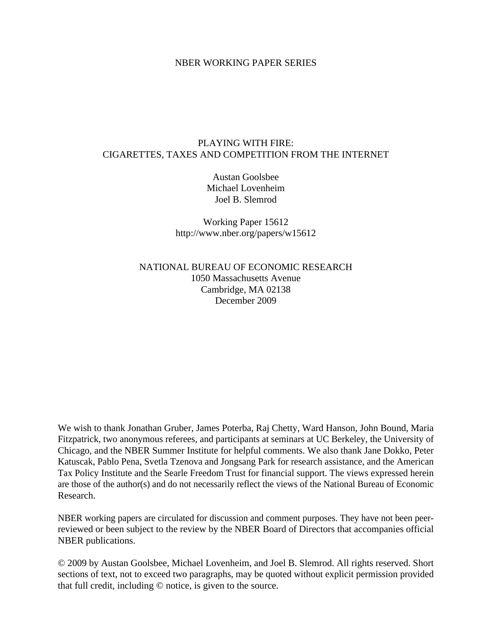# NBER WORKING PAPER SERIES

# PLAYING WITH FIRE: CIGARETTES, TAXES AND COMPETITION FROM THE INTERNET

Austan Goolsbee Michael Lovenheim Joel B. Slemrod

Working Paper 15612 http://www.nber.org/papers/w15612

NATIONAL BUREAU OF ECONOMIC RESEARCH 1050 Massachusetts Avenue Cambridge, MA 02138 December 2009

We wish to thank Jonathan Gruber, James Poterba, Raj Chetty, Ward Hanson, John Bound, Maria Fitzpatrick, two anonymous referees, and participants at seminars at UC Berkeley, the University of Chicago, and the NBER Summer Institute for helpful comments. We also thank Jane Dokko, Peter Katuscak, Pablo Pena, Svetla Tzenova and Jongsang Park for research assistance, and the American Tax Policy Institute and the Searle Freedom Trust for financial support. The views expressed herein are those of the author(s) and do not necessarily reflect the views of the National Bureau of Economic Research.

NBER working papers are circulated for discussion and comment purposes. They have not been peerreviewed or been subject to the review by the NBER Board of Directors that accompanies official NBER publications.

© 2009 by Austan Goolsbee, Michael Lovenheim, and Joel B. Slemrod. All rights reserved. Short sections of text, not to exceed two paragraphs, may be quoted without explicit permission provided that full credit, including © notice, is given to the source.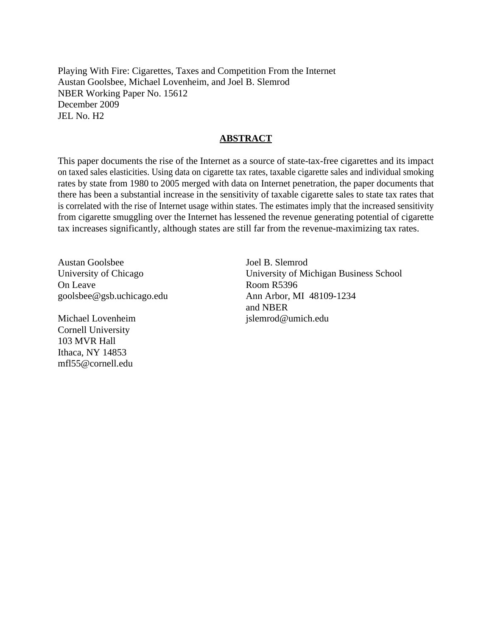Playing With Fire: Cigarettes, Taxes and Competition From the Internet Austan Goolsbee, Michael Lovenheim, and Joel B. Slemrod NBER Working Paper No. 15612 December 2009 JEL No. H2

# **ABSTRACT**

This paper documents the rise of the Internet as a source of state-tax-free cigarettes and its impact on taxed sales elasticities. Using data on cigarette tax rates, taxable cigarette sales and individual smoking rates by state from 1980 to 2005 merged with data on Internet penetration, the paper documents that there has been a substantial increase in the sensitivity of taxable cigarette sales to state tax rates that is correlated with the rise of Internet usage within states. The estimates imply that the increased sensitivity from cigarette smuggling over the Internet has lessened the revenue generating potential of cigarette tax increases significantly, although states are still far from the revenue-maximizing tax rates.

Austan Goolsbee University of Chicago On Leave goolsbee@gsb.uchicago.edu

Michael Lovenheim Cornell University 103 MVR Hall Ithaca, NY 14853 mfl55@cornell.edu

Joel B. Slemrod University of Michigan Business School Room R5396 Ann Arbor, MI 48109-1234 and NBER jslemrod@umich.edu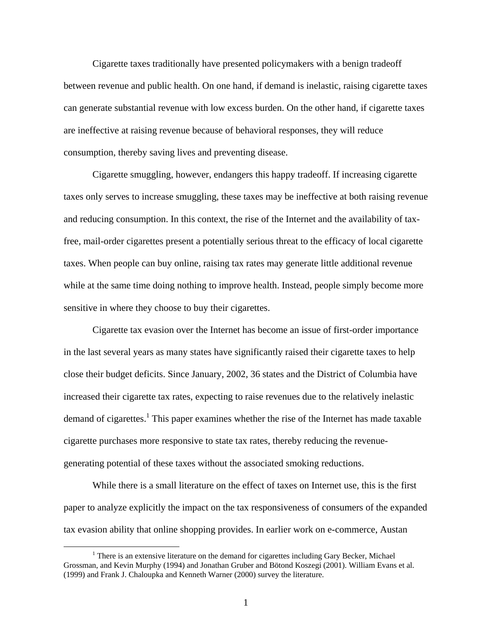Cigarette taxes traditionally have presented policymakers with a benign tradeoff between revenue and public health. On one hand, if demand is inelastic, raising cigarette taxes can generate substantial revenue with low excess burden. On the other hand, if cigarette taxes are ineffective at raising revenue because of behavioral responses, they will reduce consumption, thereby saving lives and preventing disease.

 Cigarette smuggling, however, endangers this happy tradeoff. If increasing cigarette taxes only serves to increase smuggling, these taxes may be ineffective at both raising revenue and reducing consumption. In this context, the rise of the Internet and the availability of taxfree, mail-order cigarettes present a potentially serious threat to the efficacy of local cigarette taxes. When people can buy online, raising tax rates may generate little additional revenue while at the same time doing nothing to improve health. Instead, people simply become more sensitive in where they choose to buy their cigarettes.

 Cigarette tax evasion over the Internet has become an issue of first-order importance in the last several years as many states have significantly raised their cigarette taxes to help close their budget deficits. Since January, 2002, 36 states and the District of Columbia have increased their cigarette tax rates, expecting to raise revenues due to the relatively inelastic demand of cigarettes.<sup>1</sup> This paper examines whether the rise of the Internet has made taxable cigarette purchases more responsive to state tax rates, thereby reducing the revenuegenerating potential of these taxes without the associated smoking reductions.

 While there is a small literature on the effect of taxes on Internet use, this is the first paper to analyze explicitly the impact on the tax responsiveness of consumers of the expanded tax evasion ability that online shopping provides. In earlier work on e-commerce, Austan

 $\frac{1}{1}$  $<sup>1</sup>$  There is an extensive literature on the demand for cigarettes including Gary Becker, Michael</sup> Grossman, and Kevin Murphy (1994) and Jonathan Gruber and Bötond Koszegi (2001). William Evans et al. (1999) and Frank J. Chaloupka and Kenneth Warner (2000) survey the literature.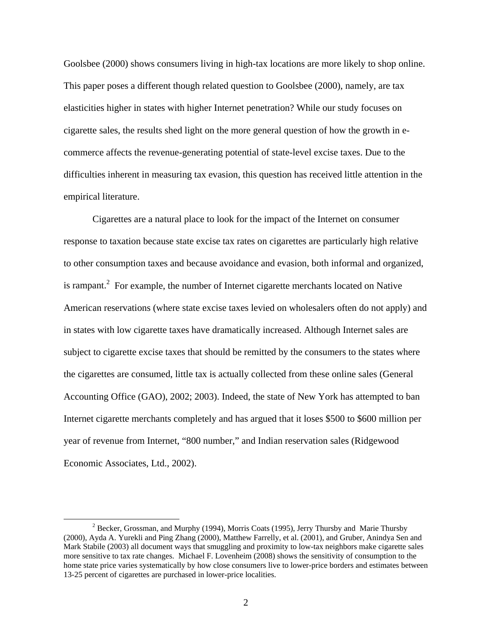Goolsbee (2000) shows consumers living in high-tax locations are more likely to shop online. This paper poses a different though related question to Goolsbee (2000), namely, are tax elasticities higher in states with higher Internet penetration? While our study focuses on cigarette sales, the results shed light on the more general question of how the growth in ecommerce affects the revenue-generating potential of state-level excise taxes. Due to the difficulties inherent in measuring tax evasion, this question has received little attention in the empirical literature.

 Cigarettes are a natural place to look for the impact of the Internet on consumer response to taxation because state excise tax rates on cigarettes are particularly high relative to other consumption taxes and because avoidance and evasion, both informal and organized, is rampant.<sup>2</sup> For example, the number of Internet cigarette merchants located on Native American reservations (where state excise taxes levied on wholesalers often do not apply) and in states with low cigarette taxes have dramatically increased. Although Internet sales are subject to cigarette excise taxes that should be remitted by the consumers to the states where the cigarettes are consumed, little tax is actually collected from these online sales (General Accounting Office (GAO), 2002; 2003). Indeed, the state of New York has attempted to ban Internet cigarette merchants completely and has argued that it loses \$500 to \$600 million per year of revenue from Internet, "800 number," and Indian reservation sales (Ridgewood Economic Associates, Ltd., 2002).

 $\overline{\phantom{a}}$ <sup>2</sup> Becker, Grossman, and Murphy (1994), Morris Coats (1995), Jerry Thursby and Marie Thursby (2000), Ayda A. Yurekli and Ping Zhang (2000), Matthew Farrelly, et al. (2001), and Gruber, Anindya Sen and Mark Stabile (2003) all document ways that smuggling and proximity to low-tax neighbors make cigarette sales more sensitive to tax rate changes. Michael F. Lovenheim (2008) shows the sensitivity of consumption to the home state price varies systematically by how close consumers live to lower-price borders and estimates between 13-25 percent of cigarettes are purchased in lower-price localities.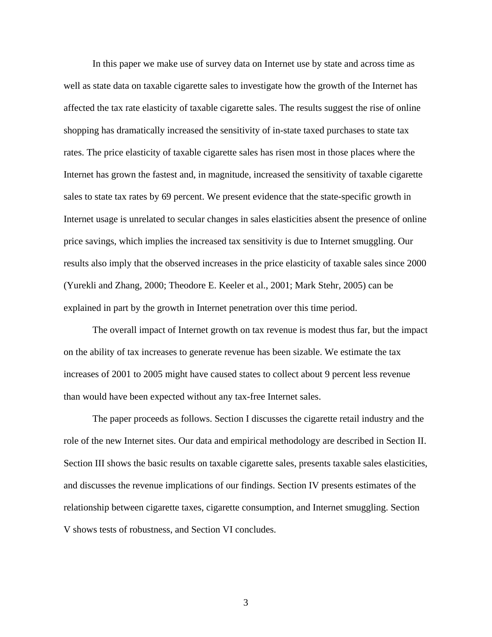In this paper we make use of survey data on Internet use by state and across time as well as state data on taxable cigarette sales to investigate how the growth of the Internet has affected the tax rate elasticity of taxable cigarette sales. The results suggest the rise of online shopping has dramatically increased the sensitivity of in-state taxed purchases to state tax rates. The price elasticity of taxable cigarette sales has risen most in those places where the Internet has grown the fastest and, in magnitude, increased the sensitivity of taxable cigarette sales to state tax rates by 69 percent. We present evidence that the state-specific growth in Internet usage is unrelated to secular changes in sales elasticities absent the presence of online price savings, which implies the increased tax sensitivity is due to Internet smuggling. Our results also imply that the observed increases in the price elasticity of taxable sales since 2000 (Yurekli and Zhang, 2000; Theodore E. Keeler et al., 2001; Mark Stehr, 2005) can be explained in part by the growth in Internet penetration over this time period.

The overall impact of Internet growth on tax revenue is modest thus far, but the impact on the ability of tax increases to generate revenue has been sizable. We estimate the tax increases of 2001 to 2005 might have caused states to collect about 9 percent less revenue than would have been expected without any tax-free Internet sales.

 The paper proceeds as follows. Section I discusses the cigarette retail industry and the role of the new Internet sites. Our data and empirical methodology are described in Section II. Section III shows the basic results on taxable cigarette sales, presents taxable sales elasticities, and discusses the revenue implications of our findings. Section IV presents estimates of the relationship between cigarette taxes, cigarette consumption, and Internet smuggling. Section V shows tests of robustness, and Section VI concludes.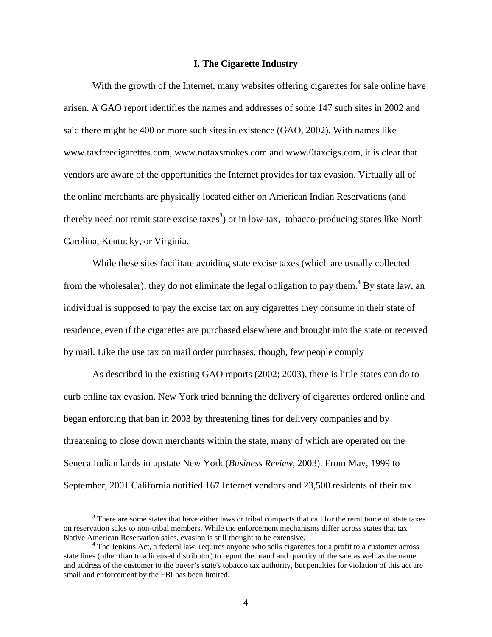### **I. The Cigarette Industry**

With the growth of the Internet, many websites offering cigarettes for sale online have arisen. A GAO report identifies the names and addresses of some 147 such sites in 2002 and said there might be 400 or more such sites in existence (GAO, 2002). With names like www.taxfreecigarettes.com, www.notaxsmokes.com and www.0taxcigs.com, it is clear that vendors are aware of the opportunities the Internet provides for tax evasion. Virtually all of the online merchants are physically located either on American Indian Reservations (and thereby need not remit state excise taxes<sup>3</sup>) or in low-tax, tobacco-producing states like North Carolina, Kentucky, or Virginia.

 While these sites facilitate avoiding state excise taxes (which are usually collected from the wholesaler), they do not eliminate the legal obligation to pay them.<sup>4</sup> By state law, an individual is supposed to pay the excise tax on any cigarettes they consume in their state of residence, even if the cigarettes are purchased elsewhere and brought into the state or received by mail. Like the use tax on mail order purchases, though, few people comply

 As described in the existing GAO reports (2002; 2003), there is little states can do to curb online tax evasion. New York tried banning the delivery of cigarettes ordered online and began enforcing that ban in 2003 by threatening fines for delivery companies and by threatening to close down merchants within the state, many of which are operated on the Seneca Indian lands in upstate New York (*Business Review*, 2003). From May, 1999 to September, 2001 California notified 167 Internet vendors and 23,500 residents of their tax

 <sup>3</sup> <sup>3</sup> There are some states that have either laws or tribal compacts that call for the remittance of state taxes on reservation sales to non-tribal members. While the enforcement mechanisms differ across states that tax Native American Reservation sales, evasion is still thought to be extensive. 4

 $4$  The Jenkins Act, a federal law, requires anyone who sells cigarettes for a profit to a customer across state lines (other than to a licensed distributor) to report the brand and quantity of the sale as well as the name and address of the customer to the buyer's state's tobacco tax authority, but penalties for violation of this act are small and enforcement by the FBI has been limited.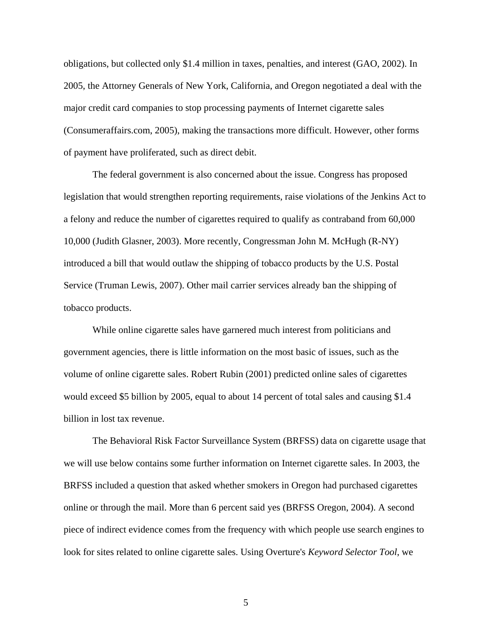obligations, but collected only \$1.4 million in taxes, penalties, and interest (GAO, 2002). In 2005, the Attorney Generals of New York, California, and Oregon negotiated a deal with the major credit card companies to stop processing payments of Internet cigarette sales (Consumeraffairs.com, 2005), making the transactions more difficult. However, other forms of payment have proliferated, such as direct debit.

The federal government is also concerned about the issue. Congress has proposed legislation that would strengthen reporting requirements, raise violations of the Jenkins Act to a felony and reduce the number of cigarettes required to qualify as contraband from 60,000 10,000 (Judith Glasner, 2003). More recently, Congressman John M. McHugh (R-NY) introduced a bill that would outlaw the shipping of tobacco products by the U.S. Postal Service (Truman Lewis, 2007). Other mail carrier services already ban the shipping of tobacco products.

 While online cigarette sales have garnered much interest from politicians and government agencies, there is little information on the most basic of issues, such as the volume of online cigarette sales. Robert Rubin (2001) predicted online sales of cigarettes would exceed \$5 billion by 2005, equal to about 14 percent of total sales and causing \$1.4 billion in lost tax revenue.

The Behavioral Risk Factor Surveillance System (BRFSS) data on cigarette usage that we will use below contains some further information on Internet cigarette sales. In 2003, the BRFSS included a question that asked whether smokers in Oregon had purchased cigarettes online or through the mail. More than 6 percent said yes (BRFSS Oregon, 2004). A second piece of indirect evidence comes from the frequency with which people use search engines to look for sites related to online cigarette sales. Using Overture's *Keyword Selector Tool*, we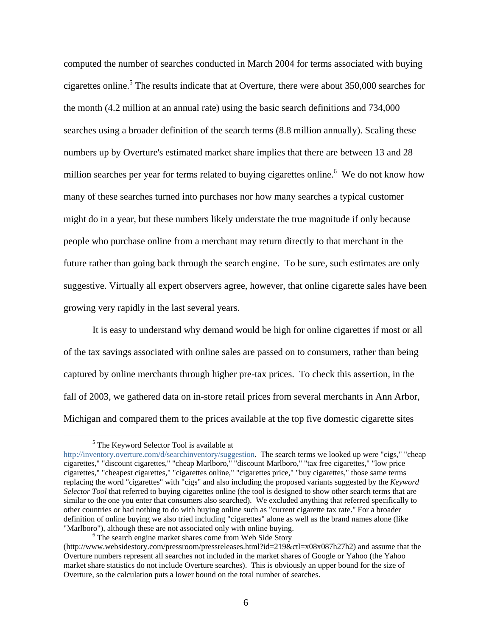computed the number of searches conducted in March 2004 for terms associated with buying cigarettes online.<sup>5</sup> The results indicate that at Overture, there were about 350,000 searches for the month (4.2 million at an annual rate) using the basic search definitions and 734,000 searches using a broader definition of the search terms (8.8 million annually). Scaling these numbers up by Overture's estimated market share implies that there are between 13 and 28 million searches per year for terms related to buying cigarettes online.<sup>6</sup> We do not know how many of these searches turned into purchases nor how many searches a typical customer might do in a year, but these numbers likely understate the true magnitude if only because people who purchase online from a merchant may return directly to that merchant in the future rather than going back through the search engine. To be sure, such estimates are only suggestive. Virtually all expert observers agree, however, that online cigarette sales have been growing very rapidly in the last several years.

 It is easy to understand why demand would be high for online cigarettes if most or all of the tax savings associated with online sales are passed on to consumers, rather than being captured by online merchants through higher pre-tax prices. To check this assertion, in the fall of 2003, we gathered data on in-store retail prices from several merchants in Ann Arbor, Michigan and compared them to the prices available at the top five domestic cigarette sites

 $\frac{1}{5}$ <sup>5</sup> The Keyword Selector Tool is available at

http://inventory.overture.com/d/searchinventory/suggestion. The search terms we looked up were "cigs," "cheap cigarettes," "discount cigarettes," "cheap Marlboro," "discount Marlboro," "tax free cigarettes," "low price cigarettes," "cheapest cigarettes," "cigarettes online," "cigarettes price," "buy cigarettes," those same terms replacing the word "cigarettes" with "cigs" and also including the proposed variants suggested by the *Keyword Selector Tool* that referred to buying cigarettes online (the tool is designed to show other search terms that are similar to the one you enter that consumers also searched). We excluded anything that referred specifically to other countries or had nothing to do with buying online such as "current cigarette tax rate." For a broader definition of online buying we also tried including "cigarettes" alone as well as the brand names alone (like "Marlboro"), although these are not associated only with online buying. 6

<sup>&</sup>lt;sup>6</sup> The search engine market shares come from Web Side Story

<sup>(</sup>http://www.websidestory.com/pressroom/pressreleases.html?id=219&ctl=x08x087h27h2) and assume that the Overture numbers represent all searches not included in the market shares of Google or Yahoo (the Yahoo market share statistics do not include Overture searches). This is obviously an upper bound for the size of Overture, so the calculation puts a lower bound on the total number of searches.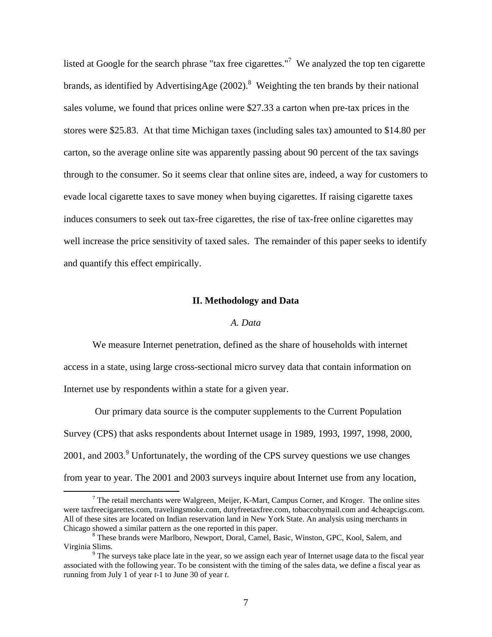listed at Google for the search phrase "tax free cigarettes."<sup>7</sup> We analyzed the top ten cigarette brands, as identified by AdvertisingAge  $(2002)$ .<sup>8</sup> Weighting the ten brands by their national sales volume, we found that prices online were \$27.33 a carton when pre-tax prices in the stores were \$25.83. At that time Michigan taxes (including sales tax) amounted to \$14.80 per carton, so the average online site was apparently passing about 90 percent of the tax savings through to the consumer. So it seems clear that online sites are, indeed, a way for customers to evade local cigarette taxes to save money when buying cigarettes. If raising cigarette taxes induces consumers to seek out tax-free cigarettes, the rise of tax-free online cigarettes may well increase the price sensitivity of taxed sales. The remainder of this paper seeks to identify and quantify this effect empirically.

#### **II. Methodology and Data**

### *A. Data*

 We measure Internet penetration, defined as the share of households with internet access in a state, using large cross-sectional micro survey data that contain information on Internet use by respondents within a state for a given year.

 Our primary data source is the computer supplements to the Current Population Survey (CPS) that asks respondents about Internet usage in 1989, 1993, 1997, 1998, 2000, 2001, and 2003. $9$  Unfortunately, the wording of the CPS survey questions we use changes from year to year. The 2001 and 2003 surveys inquire about Internet use from any location,

 <sup>7</sup>  $7$  The retail merchants were Walgreen, Meijer, K-Mart, Campus Corner, and Kroger. The online sites were taxfreecigarettes.com, travelingsmoke.com, dutyfreetaxfree.com, tobaccobymail.com and 4cheapcigs.com. All of these sites are located on Indian reservation land in New York State. An analysis using merchants in Chicago showed a similar pattern as the one reported in this paper. 8

These brands were Marlboro, Newport, Doral, Camel, Basic, Winston, GPC, Kool, Salem, and Virginia Slims. 9

<sup>&</sup>lt;sup>9</sup> The surveys take place late in the year, so we assign each year of Internet usage data to the fiscal year associated with the following year. To be consistent with the timing of the sales data, we define a fiscal year as running from July 1 of year *t-*1 to June 30 of year *t*.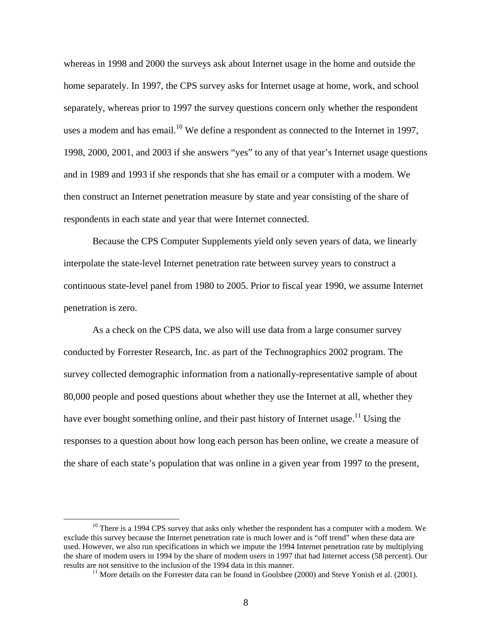whereas in 1998 and 2000 the surveys ask about Internet usage in the home and outside the home separately. In 1997, the CPS survey asks for Internet usage at home, work, and school separately, whereas prior to 1997 the survey questions concern only whether the respondent uses a modem and has email.<sup>10</sup> We define a respondent as connected to the Internet in 1997, 1998, 2000, 2001, and 2003 if she answers "yes" to any of that year's Internet usage questions and in 1989 and 1993 if she responds that she has email or a computer with a modem. We then construct an Internet penetration measure by state and year consisting of the share of respondents in each state and year that were Internet connected.

 Because the CPS Computer Supplements yield only seven years of data, we linearly interpolate the state-level Internet penetration rate between survey years to construct a continuous state-level panel from 1980 to 2005. Prior to fiscal year 1990, we assume Internet penetration is zero.

 As a check on the CPS data, we also will use data from a large consumer survey conducted by Forrester Research, Inc. as part of the Technographics 2002 program. The survey collected demographic information from a nationally-representative sample of about 80,000 people and posed questions about whether they use the Internet at all, whether they have ever bought something online, and their past history of Internet usage.<sup>11</sup> Using the responses to a question about how long each person has been online, we create a measure of the share of each state's population that was online in a given year from 1997 to the present,

 $10$  There is a 1994 CPS survey that asks only whether the respondent has a computer with a modem. We exclude this survey because the Internet penetration rate is much lower and is "off trend" when these data are used. However, we also run specifications in which we impute the 1994 Internet penetration rate by multiplying the share of modem users in 1994 by the share of modem users in 1997 that had Internet access (58 percent). Our results are not sensitive to the inclusion of the 1994 data in this manner.<br><sup>11</sup> More details on the Forrester data can be found in Goolsbee (2000) and Steve Yonish et al. (2001).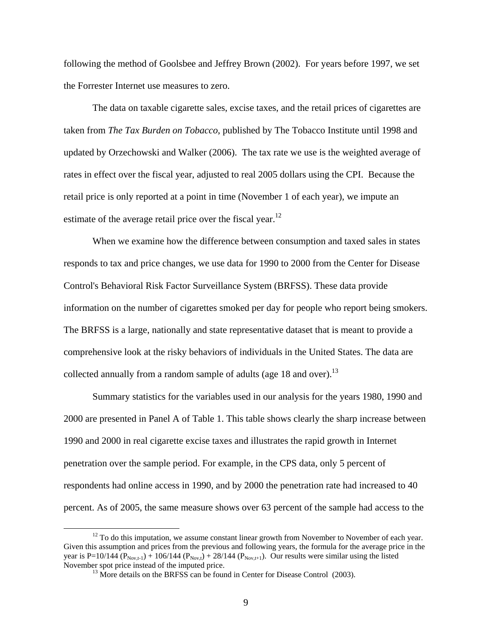following the method of Goolsbee and Jeffrey Brown (2002). For years before 1997, we set the Forrester Internet use measures to zero.

 The data on taxable cigarette sales, excise taxes, and the retail prices of cigarettes are taken from *The Tax Burden on Tobacco*, published by The Tobacco Institute until 1998 and updated by Orzechowski and Walker (2006). The tax rate we use is the weighted average of rates in effect over the fiscal year, adjusted to real 2005 dollars using the CPI. Because the retail price is only reported at a point in time (November 1 of each year), we impute an estimate of the average retail price over the fiscal year. $^{12}$ 

When we examine how the difference between consumption and taxed sales in states responds to tax and price changes, we use data for 1990 to 2000 from the Center for Disease Control's Behavioral Risk Factor Surveillance System (BRFSS). These data provide information on the number of cigarettes smoked per day for people who report being smokers. The BRFSS is a large, nationally and state representative dataset that is meant to provide a comprehensive look at the risky behaviors of individuals in the United States. The data are collected annually from a random sample of adults (age 18 and over).<sup>13</sup>

 Summary statistics for the variables used in our analysis for the years 1980, 1990 and 2000 are presented in Panel A of Table 1. This table shows clearly the sharp increase between 1990 and 2000 in real cigarette excise taxes and illustrates the rapid growth in Internet penetration over the sample period. For example, in the CPS data, only 5 percent of respondents had online access in 1990, and by 2000 the penetration rate had increased to 40 percent. As of 2005, the same measure shows over 63 percent of the sample had access to the

<sup>&</sup>lt;sup>12</sup> To do this imputation, we assume constant linear growth from November to November of each year. Given this assumption and prices from the previous and following years, the formula for the average price in the year is P=10/144 ( $P_{\text{Nov,t-1}}$ ) + 106/144 ( $P_{\text{Nov,t}}$ ) + 28/144 ( $P_{\text{Nov,t+1}}$ ). Our results were similar using the listed November spot price instead of the imputed price.<br><sup>13</sup> More details on the BRFSS can be found in Center for Disease Control (2003).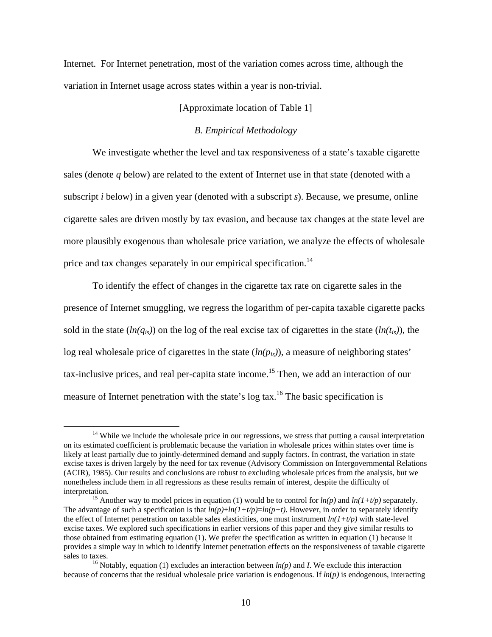Internet. For Internet penetration, most of the variation comes across time, although the variation in Internet usage across states within a year is non-trivial.

# [Approximate location of Table 1]

### *B. Empirical Methodology*

We investigate whether the level and tax responsiveness of a state's taxable cigarette sales (denote *q* below) are related to the extent of Internet use in that state (denoted with a subscript *i* below) in a given year (denoted with a subscript *s*). Because, we presume, online cigarette sales are driven mostly by tax evasion, and because tax changes at the state level are more plausibly exogenous than wholesale price variation, we analyze the effects of wholesale price and tax changes separately in our empirical specification.<sup>14</sup>

To identify the effect of changes in the cigarette tax rate on cigarette sales in the presence of Internet smuggling, we regress the logarithm of per-capita taxable cigarette packs sold in the state  $(ln(q_{is}))$  on the log of the real excise tax of cigarettes in the state  $(ln(t_{is}))$ , the log real wholesale price of cigarettes in the state (*ln(pis)*), a measure of neighboring states' tax-inclusive prices, and real per-capita state income.<sup>15</sup> Then, we add an interaction of our measure of Internet penetration with the state's log tax.<sup>16</sup> The basic specification is

 $14$  While we include the wholesale price in our regressions, we stress that putting a causal interpretation on its estimated coefficient is problematic because the variation in wholesale prices within states over time is likely at least partially due to jointly-determined demand and supply factors. In contrast, the variation in state excise taxes is driven largely by the need for tax revenue (Advisory Commission on Intergovernmental Relations (ACIR), 1985). Our results and conclusions are robust to excluding wholesale prices from the analysis, but we nonetheless include them in all regressions as these results remain of interest, despite the difficulty of interpretation. 15 Another way to model prices in equation (1) would be to control for *ln(p)* and *ln(1+t/p)* separately.

The advantage of such a specification is that  $ln(p)+ln(1+t/p)=ln(p+t)$ . However, in order to separately identify the effect of Internet penetration on taxable sales elasticities, one must instrument  $ln(1+t/p)$  with state-level excise taxes. We explored such specifications in earlier versions of this paper and they give similar results to those obtained from estimating equation (1). We prefer the specification as written in equation (1) because it provides a simple way in which to identify Internet penetration effects on the responsiveness of taxable cigarette

sales to taxes.<br><sup>16</sup> Notably, equation (1) excludes an interaction between  $ln(p)$  and *I*. We exclude this interaction because of concerns that the residual wholesale price variation is endogenous. If *ln*(*p)* is endogenous, interacting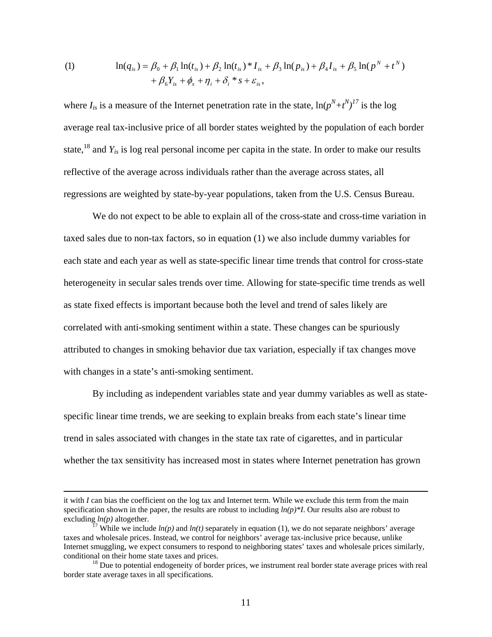(1) 
$$
\ln(q_{is}) = \beta_0 + \beta_1 \ln(t_{is}) + \beta_2 \ln(t_{is}) * I_{is} + \beta_3 \ln(p_{is}) + \beta_4 I_{is} + \beta_5 \ln(p^N + t^N) + \beta_6 Y_{is} + \phi_s + \eta_i + \delta_i * s + \varepsilon_{is},
$$

where  $I_{is}$  is a measure of the Internet penetration rate in the state,  $\ln(p^N+t^N)^{17}$  is the log average real tax-inclusive price of all border states weighted by the population of each border state,18 and *Yis* is log real personal income per capita in the state. In order to make our results reflective of the average across individuals rather than the average across states, all regressions are weighted by state-by-year populations, taken from the U.S. Census Bureau.

We do not expect to be able to explain all of the cross-state and cross-time variation in taxed sales due to non-tax factors, so in equation (1) we also include dummy variables for each state and each year as well as state-specific linear time trends that control for cross-state heterogeneity in secular sales trends over time. Allowing for state-specific time trends as well as state fixed effects is important because both the level and trend of sales likely are correlated with anti-smoking sentiment within a state. These changes can be spuriously attributed to changes in smoking behavior due tax variation, especially if tax changes move with changes in a state's anti-smoking sentiment.

By including as independent variables state and year dummy variables as well as statespecific linear time trends, we are seeking to explain breaks from each state's linear time trend in sales associated with changes in the state tax rate of cigarettes, and in particular whether the tax sensitivity has increased most in states where Internet penetration has grown

it with *I* can bias the coefficient on the log tax and Internet term. While we exclude this term from the main specification shown in the paper, the results are robust to including  $ln(p)*I$ . Our results also are robust to excluding  $ln(p)$  altogether.<br><sup>17</sup> While we include  $ln(p)$  and  $ln(t)$  separately in equation (1), we do not separate neighbors' average

taxes and wholesale prices. Instead, we control for neighbors' average tax-inclusive price because, unlike Internet smuggling, we expect consumers to respond to neighboring states' taxes and wholesale prices similarly, conditional on their home state taxes and prices.<br><sup>18</sup> Due to potential endogeneity of border prices, we instrument real border state average prices with real

border state average taxes in all specifications.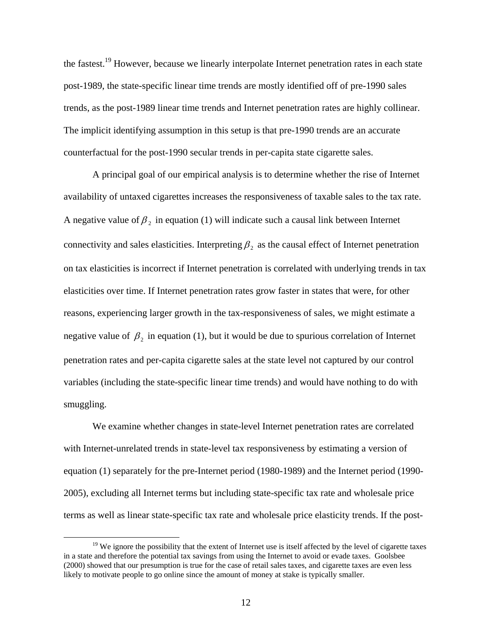the fastest.19 However, because we linearly interpolate Internet penetration rates in each state post-1989, the state-specific linear time trends are mostly identified off of pre-1990 sales trends, as the post-1989 linear time trends and Internet penetration rates are highly collinear. The implicit identifying assumption in this setup is that pre-1990 trends are an accurate counterfactual for the post-1990 secular trends in per-capita state cigarette sales.

A principal goal of our empirical analysis is to determine whether the rise of Internet availability of untaxed cigarettes increases the responsiveness of taxable sales to the tax rate. A negative value of  $\beta_2$  in equation (1) will indicate such a causal link between Internet connectivity and sales elasticities. Interpreting  $\beta_2$  as the causal effect of Internet penetration on tax elasticities is incorrect if Internet penetration is correlated with underlying trends in tax elasticities over time. If Internet penetration rates grow faster in states that were, for other reasons, experiencing larger growth in the tax-responsiveness of sales, we might estimate a negative value of  $\beta_2$  in equation (1), but it would be due to spurious correlation of Internet penetration rates and per-capita cigarette sales at the state level not captured by our control variables (including the state-specific linear time trends) and would have nothing to do with smuggling.

We examine whether changes in state-level Internet penetration rates are correlated with Internet-unrelated trends in state-level tax responsiveness by estimating a version of equation (1) separately for the pre-Internet period (1980-1989) and the Internet period (1990- 2005), excluding all Internet terms but including state-specific tax rate and wholesale price terms as well as linear state-specific tax rate and wholesale price elasticity trends. If the post-

 $19$  We ignore the possibility that the extent of Internet use is itself affected by the level of cigarette taxes in a state and therefore the potential tax savings from using the Internet to avoid or evade taxes. Goolsbee (2000) showed that our presumption is true for the case of retail sales taxes, and cigarette taxes are even less likely to motivate people to go online since the amount of money at stake is typically smaller.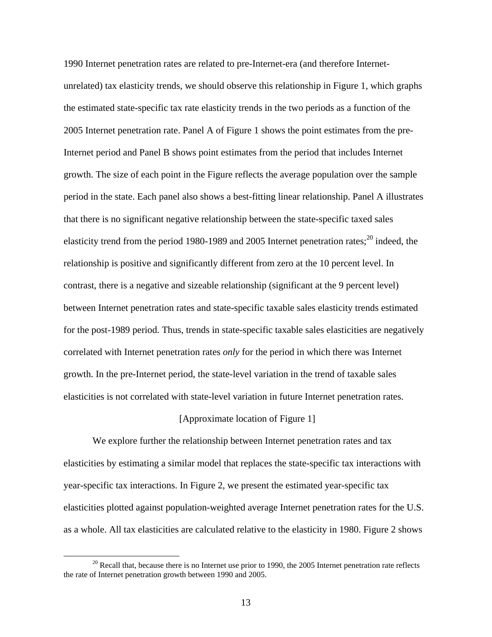1990 Internet penetration rates are related to pre-Internet-era (and therefore Internetunrelated) tax elasticity trends, we should observe this relationship in Figure 1, which graphs the estimated state-specific tax rate elasticity trends in the two periods as a function of the 2005 Internet penetration rate. Panel A of Figure 1 shows the point estimates from the pre-Internet period and Panel B shows point estimates from the period that includes Internet growth. The size of each point in the Figure reflects the average population over the sample period in the state. Each panel also shows a best-fitting linear relationship. Panel A illustrates that there is no significant negative relationship between the state-specific taxed sales elasticity trend from the period 1980-1989 and 2005 Internet penetration rates; $^{20}$  indeed, the relationship is positive and significantly different from zero at the 10 percent level. In contrast, there is a negative and sizeable relationship (significant at the 9 percent level) between Internet penetration rates and state-specific taxable sales elasticity trends estimated for the post-1989 period. Thus, trends in state-specific taxable sales elasticities are negatively correlated with Internet penetration rates *only* for the period in which there was Internet growth. In the pre-Internet period, the state-level variation in the trend of taxable sales elasticities is not correlated with state-level variation in future Internet penetration rates.

#### [Approximate location of Figure 1]

We explore further the relationship between Internet penetration rates and tax elasticities by estimating a similar model that replaces the state-specific tax interactions with year-specific tax interactions. In Figure 2, we present the estimated year-specific tax elasticities plotted against population-weighted average Internet penetration rates for the U.S. as a whole. All tax elasticities are calculated relative to the elasticity in 1980. Figure 2 shows

 $20$  Recall that, because there is no Internet use prior to 1990, the 2005 Internet penetration rate reflects the rate of Internet penetration growth between 1990 and 2005.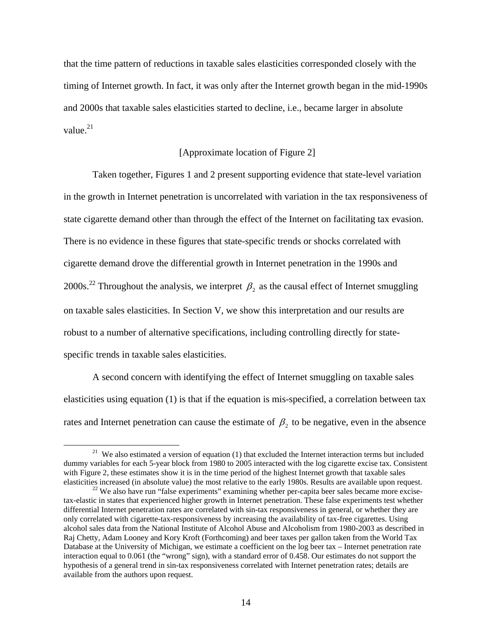that the time pattern of reductions in taxable sales elasticities corresponded closely with the timing of Internet growth. In fact, it was only after the Internet growth began in the mid-1990s and 2000s that taxable sales elasticities started to decline, i.e., became larger in absolute value. $21$ 

# [Approximate location of Figure 2]

Taken together, Figures 1 and 2 present supporting evidence that state-level variation in the growth in Internet penetration is uncorrelated with variation in the tax responsiveness of state cigarette demand other than through the effect of the Internet on facilitating tax evasion. There is no evidence in these figures that state-specific trends or shocks correlated with cigarette demand drove the differential growth in Internet penetration in the 1990s and 2000s.<sup>22</sup> Throughout the analysis, we interpret  $\beta_2$  as the causal effect of Internet smuggling on taxable sales elasticities. In Section V, we show this interpretation and our results are robust to a number of alternative specifications, including controlling directly for statespecific trends in taxable sales elasticities.

A second concern with identifying the effect of Internet smuggling on taxable sales elasticities using equation (1) is that if the equation is mis-specified, a correlation between tax rates and Internet penetration can cause the estimate of  $\beta_2$  to be negative, even in the absence

<sup>&</sup>lt;sup>21</sup> We also estimated a version of equation (1) that excluded the Internet interaction terms but included dummy variables for each 5-year block from 1980 to 2005 interacted with the log cigarette excise tax. Consistent with Figure 2, these estimates show it is in the time period of the highest Internet growth that taxable sales elasticities increased (in absolute value) the most relative to the early 1980s. Results are available upon request. 22 We also have run "false experiments" examining whether per-capita beer sales became more excise-

tax-elastic in states that experienced higher growth in Internet penetration. These false experiments test whether differential Internet penetration rates are correlated with sin-tax responsiveness in general, or whether they are only correlated with cigarette-tax-responsiveness by increasing the availability of tax-free cigarettes. Using alcohol sales data from the National Institute of Alcohol Abuse and Alcoholism from 1980-2003 as described in Raj Chetty, Adam Looney and Kory Kroft (Forthcoming) and beer taxes per gallon taken from the World Tax Database at the University of Michigan, we estimate a coefficient on the log beer tax – Internet penetration rate interaction equal to 0.061 (the "wrong" sign), with a standard error of 0.458. Our estimates do not support the hypothesis of a general trend in sin-tax responsiveness correlated with Internet penetration rates; details are available from the authors upon request.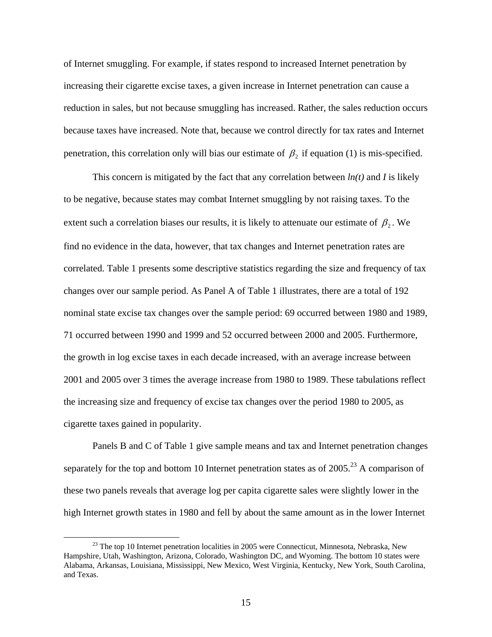of Internet smuggling. For example, if states respond to increased Internet penetration by increasing their cigarette excise taxes, a given increase in Internet penetration can cause a reduction in sales, but not because smuggling has increased. Rather, the sales reduction occurs because taxes have increased. Note that, because we control directly for tax rates and Internet penetration, this correlation only will bias our estimate of  $\beta_2$  if equation (1) is mis-specified.

This concern is mitigated by the fact that any correlation between *ln(t)* and *I* is likely to be negative, because states may combat Internet smuggling by not raising taxes. To the extent such a correlation biases our results, it is likely to attenuate our estimate of  $\beta_2$ . We find no evidence in the data, however, that tax changes and Internet penetration rates are correlated. Table 1 presents some descriptive statistics regarding the size and frequency of tax changes over our sample period. As Panel A of Table 1 illustrates, there are a total of 192 nominal state excise tax changes over the sample period: 69 occurred between 1980 and 1989, 71 occurred between 1990 and 1999 and 52 occurred between 2000 and 2005. Furthermore, the growth in log excise taxes in each decade increased, with an average increase between 2001 and 2005 over 3 times the average increase from 1980 to 1989. These tabulations reflect the increasing size and frequency of excise tax changes over the period 1980 to 2005, as cigarette taxes gained in popularity.

Panels B and C of Table 1 give sample means and tax and Internet penetration changes separately for the top and bottom 10 Internet penetration states as of  $2005<sup>23</sup>$  A comparison of these two panels reveals that average log per capita cigarette sales were slightly lower in the high Internet growth states in 1980 and fell by about the same amount as in the lower Internet

<sup>&</sup>lt;sup>23</sup> The top 10 Internet penetration localities in 2005 were Connecticut, Minnesota, Nebraska, New Hampshire, Utah, Washington, Arizona, Colorado, Washington DC, and Wyoming. The bottom 10 states were Alabama, Arkansas, Louisiana, Mississippi, New Mexico, West Virginia, Kentucky, New York, South Carolina, and Texas.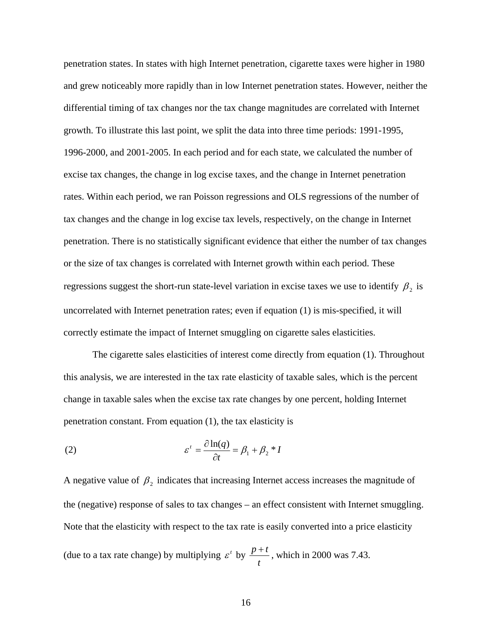penetration states. In states with high Internet penetration, cigarette taxes were higher in 1980 and grew noticeably more rapidly than in low Internet penetration states. However, neither the differential timing of tax changes nor the tax change magnitudes are correlated with Internet growth. To illustrate this last point, we split the data into three time periods: 1991-1995, 1996-2000, and 2001-2005. In each period and for each state, we calculated the number of excise tax changes, the change in log excise taxes, and the change in Internet penetration rates. Within each period, we ran Poisson regressions and OLS regressions of the number of tax changes and the change in log excise tax levels, respectively, on the change in Internet penetration. There is no statistically significant evidence that either the number of tax changes or the size of tax changes is correlated with Internet growth within each period. These regressions suggest the short-run state-level variation in excise taxes we use to identify  $\beta_2$  is uncorrelated with Internet penetration rates; even if equation (1) is mis-specified, it will correctly estimate the impact of Internet smuggling on cigarette sales elasticities.

The cigarette sales elasticities of interest come directly from equation (1). Throughout this analysis, we are interested in the tax rate elasticity of taxable sales, which is the percent change in taxable sales when the excise tax rate changes by one percent, holding Internet penetration constant. From equation (1), the tax elasticity is

(2) 
$$
\varepsilon^t = \frac{\partial \ln(q)}{\partial t} = \beta_1 + \beta_2 * I
$$

A negative value of  $\beta_2$  indicates that increasing Internet access increases the magnitude of the (negative) response of sales to tax changes – an effect consistent with Internet smuggling. Note that the elasticity with respect to the tax rate is easily converted into a price elasticity (due to a tax rate change) by multiplying  $\varepsilon^t$  by *t*  $\frac{p+t}{m}$ , which in 2000 was 7.43.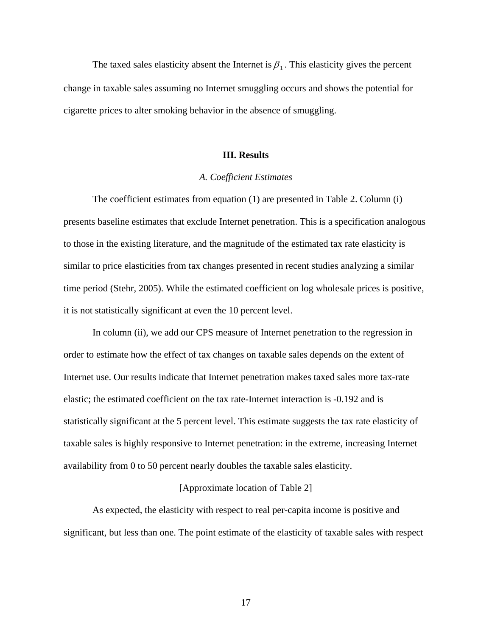The taxed sales elasticity absent the Internet is  $\beta_1$ . This elasticity gives the percent change in taxable sales assuming no Internet smuggling occurs and shows the potential for cigarette prices to alter smoking behavior in the absence of smuggling.

# **III. Results**

## *A. Coefficient Estimates*

 The coefficient estimates from equation (1) are presented in Table 2. Column (i) presents baseline estimates that exclude Internet penetration. This is a specification analogous to those in the existing literature, and the magnitude of the estimated tax rate elasticity is similar to price elasticities from tax changes presented in recent studies analyzing a similar time period (Stehr, 2005). While the estimated coefficient on log wholesale prices is positive, it is not statistically significant at even the 10 percent level.

In column (ii), we add our CPS measure of Internet penetration to the regression in order to estimate how the effect of tax changes on taxable sales depends on the extent of Internet use. Our results indicate that Internet penetration makes taxed sales more tax-rate elastic; the estimated coefficient on the tax rate-Internet interaction is -0.192 and is statistically significant at the 5 percent level. This estimate suggests the tax rate elasticity of taxable sales is highly responsive to Internet penetration: in the extreme, increasing Internet availability from 0 to 50 percent nearly doubles the taxable sales elasticity.

## [Approximate location of Table 2]

As expected, the elasticity with respect to real per-capita income is positive and significant, but less than one. The point estimate of the elasticity of taxable sales with respect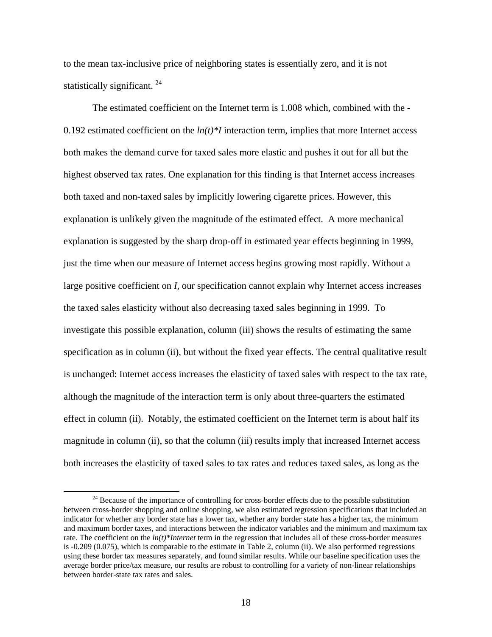to the mean tax-inclusive price of neighboring states is essentially zero, and it is not statistically significant.<sup>24</sup>

The estimated coefficient on the Internet term is 1.008 which, combined with the - 0.192 estimated coefficient on the  $ln(t)*I$  interaction term, implies that more Internet access both makes the demand curve for taxed sales more elastic and pushes it out for all but the highest observed tax rates. One explanation for this finding is that Internet access increases both taxed and non-taxed sales by implicitly lowering cigarette prices. However, this explanation is unlikely given the magnitude of the estimated effect. A more mechanical explanation is suggested by the sharp drop-off in estimated year effects beginning in 1999, just the time when our measure of Internet access begins growing most rapidly. Without a large positive coefficient on *I*, our specification cannot explain why Internet access increases the taxed sales elasticity without also decreasing taxed sales beginning in 1999. To investigate this possible explanation, column (iii) shows the results of estimating the same specification as in column (ii), but without the fixed year effects. The central qualitative result is unchanged: Internet access increases the elasticity of taxed sales with respect to the tax rate, although the magnitude of the interaction term is only about three-quarters the estimated effect in column (ii). Notably, the estimated coefficient on the Internet term is about half its magnitude in column (ii), so that the column (iii) results imply that increased Internet access both increases the elasticity of taxed sales to tax rates and reduces taxed sales, as long as the

<sup>&</sup>lt;sup>24</sup> Because of the importance of controlling for cross-border effects due to the possible substitution between cross-border shopping and online shopping, we also estimated regression specifications that included an indicator for whether any border state has a lower tax, whether any border state has a higher tax, the minimum and maximum border taxes, and interactions between the indicator variables and the minimum and maximum tax rate. The coefficient on the *ln(t)\*Internet* term in the regression that includes all of these cross-border measures is -0.209 (0.075), which is comparable to the estimate in Table 2, column (ii). We also performed regressions using these border tax measures separately, and found similar results. While our baseline specification uses the average border price/tax measure, our results are robust to controlling for a variety of non-linear relationships between border-state tax rates and sales.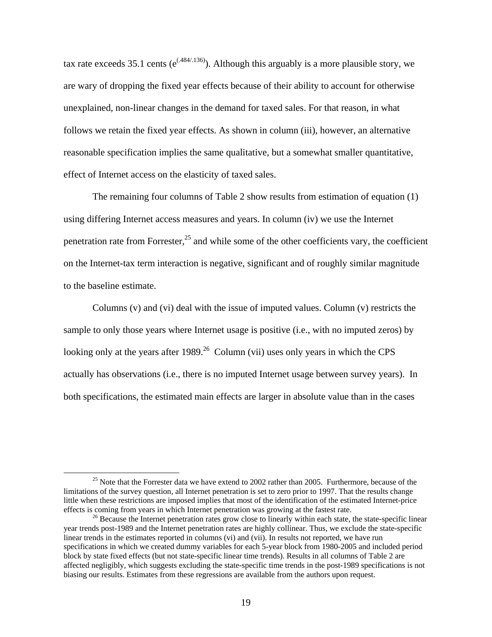tax rate exceeds 35.1 cents ( $e^{(.484/.136)}$ ). Although this arguably is a more plausible story, we are wary of dropping the fixed year effects because of their ability to account for otherwise unexplained, non-linear changes in the demand for taxed sales. For that reason, in what follows we retain the fixed year effects. As shown in column (iii), however, an alternative reasonable specification implies the same qualitative, but a somewhat smaller quantitative, effect of Internet access on the elasticity of taxed sales.

The remaining four columns of Table 2 show results from estimation of equation (1) using differing Internet access measures and years. In column (iv) we use the Internet penetration rate from Forrester, $^{25}$  and while some of the other coefficients vary, the coefficient on the Internet-tax term interaction is negative, significant and of roughly similar magnitude to the baseline estimate.

Columns (v) and (vi) deal with the issue of imputed values. Column (v) restricts the sample to only those years where Internet usage is positive (i.e., with no imputed zeros) by looking only at the years after  $1989<sup>26</sup>$  Column (vii) uses only years in which the CPS actually has observations (i.e., there is no imputed Internet usage between survey years). In both specifications, the estimated main effects are larger in absolute value than in the cases

<sup>&</sup>lt;sup>25</sup> Note that the Forrester data we have extend to 2002 rather than 2005. Furthermore, because of the limitations of the survey question, all Internet penetration is set to zero prior to 1997. That the results change little when these restrictions are imposed implies that most of the identification of the estimated Internet-price effects is coming from years in which Internet penetration was growing at the fastest rate.<br><sup>26</sup> Because the Internet penetration rates grow close to linearly within each state, the state-specific linear

year trends post-1989 and the Internet penetration rates are highly collinear. Thus, we exclude the state-specific linear trends in the estimates reported in columns (vi) and (vii). In results not reported, we have run specifications in which we created dummy variables for each 5-year block from 1980-2005 and included period block by state fixed effects (but not state-specific linear time trends). Results in all columns of Table 2 are affected negligibly, which suggests excluding the state-specific time trends in the post-1989 specifications is not biasing our results. Estimates from these regressions are available from the authors upon request.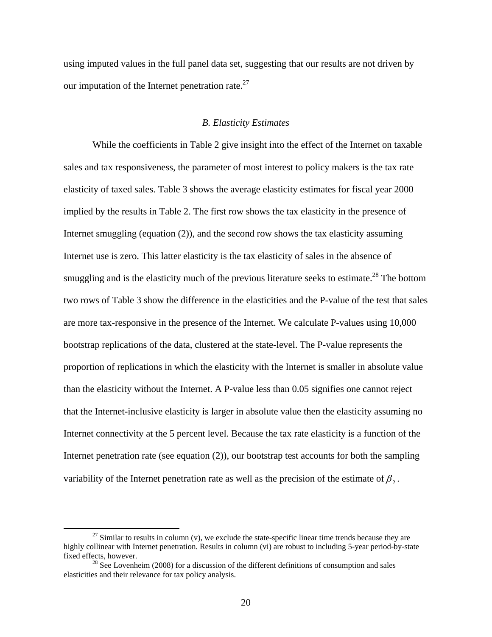using imputed values in the full panel data set, suggesting that our results are not driven by our imputation of the Internet penetration rate.<sup>27</sup>

#### *B. Elasticity Estimates*

 While the coefficients in Table 2 give insight into the effect of the Internet on taxable sales and tax responsiveness, the parameter of most interest to policy makers is the tax rate elasticity of taxed sales. Table 3 shows the average elasticity estimates for fiscal year 2000 implied by the results in Table 2. The first row shows the tax elasticity in the presence of Internet smuggling (equation (2)), and the second row shows the tax elasticity assuming Internet use is zero. This latter elasticity is the tax elasticity of sales in the absence of smuggling and is the elasticity much of the previous literature seeks to estimate.<sup>28</sup> The bottom two rows of Table 3 show the difference in the elasticities and the P-value of the test that sales are more tax-responsive in the presence of the Internet. We calculate P-values using 10,000 bootstrap replications of the data, clustered at the state-level. The P-value represents the proportion of replications in which the elasticity with the Internet is smaller in absolute value than the elasticity without the Internet. A P-value less than 0.05 signifies one cannot reject that the Internet-inclusive elasticity is larger in absolute value then the elasticity assuming no Internet connectivity at the 5 percent level. Because the tax rate elasticity is a function of the Internet penetration rate (see equation (2)), our bootstrap test accounts for both the sampling variability of the Internet penetration rate as well as the precision of the estimate of  $\beta$ .

 $27$  Similar to results in column (v), we exclude the state-specific linear time trends because they are highly collinear with Internet penetration. Results in column (vi) are robust to including 5-year period-by-state fixed effects, however.

 $^{28}$  See Lovenheim (2008) for a discussion of the different definitions of consumption and sales elasticities and their relevance for tax policy analysis.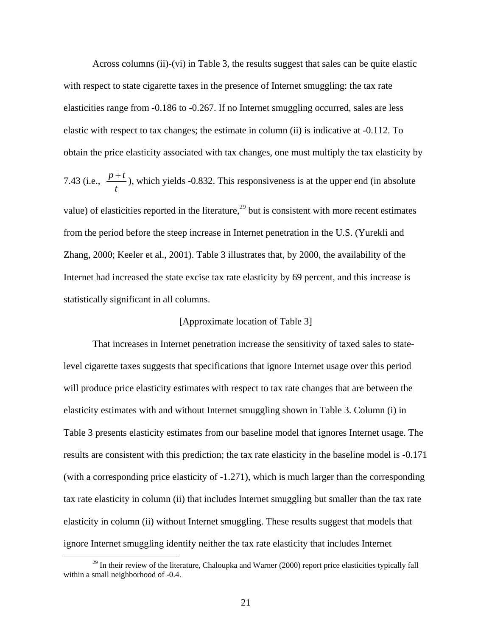Across columns (ii)-(vi) in Table 3, the results suggest that sales can be quite elastic with respect to state cigarette taxes in the presence of Internet smuggling: the tax rate elasticities range from -0.186 to -0.267. If no Internet smuggling occurred, sales are less elastic with respect to tax changes; the estimate in column (ii) is indicative at -0.112. To obtain the price elasticity associated with tax changes, one must multiply the tax elasticity by 7.43 (i.e., *t*  $\frac{p+t}{r}$ ), which yields -0.832. This responsiveness is at the upper end (in absolute value) of elasticities reported in the literature,<sup>29</sup> but is consistent with more recent estimates from the period before the steep increase in Internet penetration in the U.S. (Yurekli and Zhang, 2000; Keeler et al., 2001). Table 3 illustrates that, by 2000, the availability of the Internet had increased the state excise tax rate elasticity by 69 percent, and this increase is statistically significant in all columns.

### [Approximate location of Table 3]

That increases in Internet penetration increase the sensitivity of taxed sales to statelevel cigarette taxes suggests that specifications that ignore Internet usage over this period will produce price elasticity estimates with respect to tax rate changes that are between the elasticity estimates with and without Internet smuggling shown in Table 3. Column (i) in Table 3 presents elasticity estimates from our baseline model that ignores Internet usage. The results are consistent with this prediction; the tax rate elasticity in the baseline model is -0.171 (with a corresponding price elasticity of -1.271), which is much larger than the corresponding tax rate elasticity in column (ii) that includes Internet smuggling but smaller than the tax rate elasticity in column (ii) without Internet smuggling. These results suggest that models that ignore Internet smuggling identify neither the tax rate elasticity that includes Internet

<sup>&</sup>lt;sup>29</sup> In their review of the literature, Chaloupka and Warner (2000) report price elasticities typically fall within a small neighborhood of -0.4.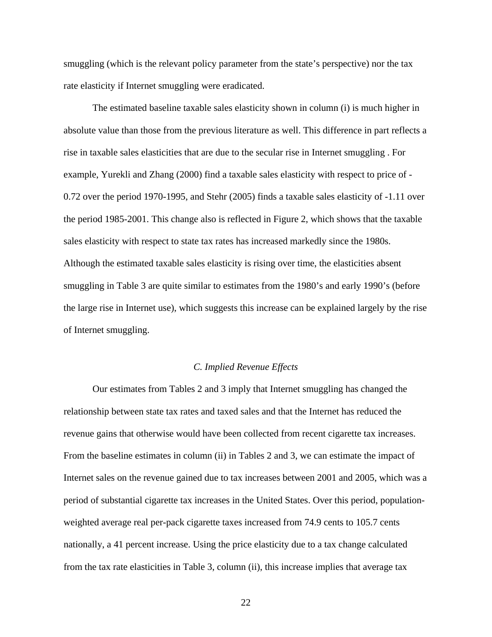smuggling (which is the relevant policy parameter from the state's perspective) nor the tax rate elasticity if Internet smuggling were eradicated.

The estimated baseline taxable sales elasticity shown in column (i) is much higher in absolute value than those from the previous literature as well. This difference in part reflects a rise in taxable sales elasticities that are due to the secular rise in Internet smuggling . For example, Yurekli and Zhang (2000) find a taxable sales elasticity with respect to price of - 0.72 over the period 1970-1995, and Stehr (2005) finds a taxable sales elasticity of -1.11 over the period 1985-2001. This change also is reflected in Figure 2, which shows that the taxable sales elasticity with respect to state tax rates has increased markedly since the 1980s. Although the estimated taxable sales elasticity is rising over time, the elasticities absent smuggling in Table 3 are quite similar to estimates from the 1980's and early 1990's (before the large rise in Internet use), which suggests this increase can be explained largely by the rise of Internet smuggling.

## *C. Implied Revenue Effects*

 Our estimates from Tables 2 and 3 imply that Internet smuggling has changed the relationship between state tax rates and taxed sales and that the Internet has reduced the revenue gains that otherwise would have been collected from recent cigarette tax increases. From the baseline estimates in column (ii) in Tables 2 and 3, we can estimate the impact of Internet sales on the revenue gained due to tax increases between 2001 and 2005, which was a period of substantial cigarette tax increases in the United States. Over this period, populationweighted average real per-pack cigarette taxes increased from 74.9 cents to 105.7 cents nationally, a 41 percent increase. Using the price elasticity due to a tax change calculated from the tax rate elasticities in Table 3, column (ii), this increase implies that average tax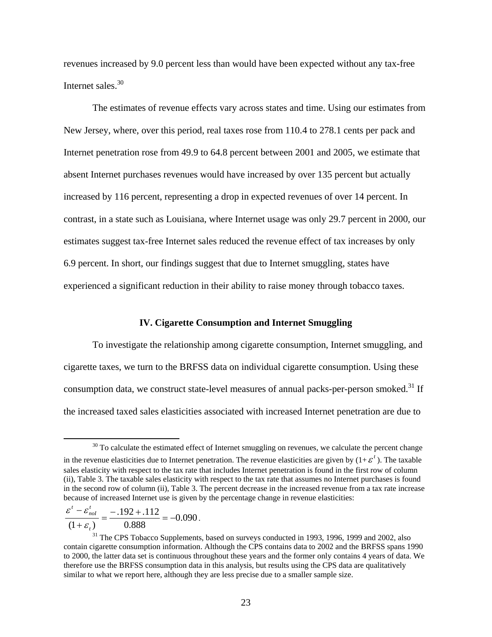revenues increased by 9.0 percent less than would have been expected without any tax-free Internet sales.<sup>30</sup>

The estimates of revenue effects vary across states and time. Using our estimates from New Jersey, where, over this period, real taxes rose from 110.4 to 278.1 cents per pack and Internet penetration rose from 49.9 to 64.8 percent between 2001 and 2005, we estimate that absent Internet purchases revenues would have increased by over 135 percent but actually increased by 116 percent, representing a drop in expected revenues of over 14 percent. In contrast, in a state such as Louisiana, where Internet usage was only 29.7 percent in 2000, our estimates suggest tax-free Internet sales reduced the revenue effect of tax increases by only 6.9 percent. In short, our findings suggest that due to Internet smuggling, states have experienced a significant reduction in their ability to raise money through tobacco taxes.

# **IV. Cigarette Consumption and Internet Smuggling**

 To investigate the relationship among cigarette consumption, Internet smuggling, and cigarette taxes, we turn to the BRFSS data on individual cigarette consumption. Using these consumption data, we construct state-level measures of annual packs-per-person smoked.<sup>31</sup> If the increased taxed sales elasticities associated with increased Internet penetration are due to

$$
\frac{\varepsilon^t - \varepsilon_{\text{nol}}^t}{(1 + \varepsilon_t)} = \frac{-.192 + .112}{0.888} = -0.090.
$$

<sup>&</sup>lt;sup>30</sup> To calculate the estimated effect of Internet smuggling on revenues, we calculate the percent change in the revenue elasticities due to Internet penetration. The revenue elasticities are given by  $(1+\varepsilon^t)$ . The taxable sales elasticity with respect to the tax rate that includes Internet penetration is found in the first row of column (ii), Table 3. The taxable sales elasticity with respect to the tax rate that assumes no Internet purchases is found in the second row of column (ii), Table 3. The percent decrease in the increased revenue from a tax rate increase because of increased Internet use is given by the percentage change in revenue elasticities:

<sup>&</sup>lt;sup>31</sup> The CPS Tobacco Supplements, based on surveys conducted in 1993, 1996, 1999 and 2002, also contain cigarette consumption information. Although the CPS contains data to 2002 and the BRFSS spans 1990 to 2000, the latter data set is continuous throughout these years and the former only contains 4 years of data. We therefore use the BRFSS consumption data in this analysis, but results using the CPS data are qualitatively similar to what we report here, although they are less precise due to a smaller sample size.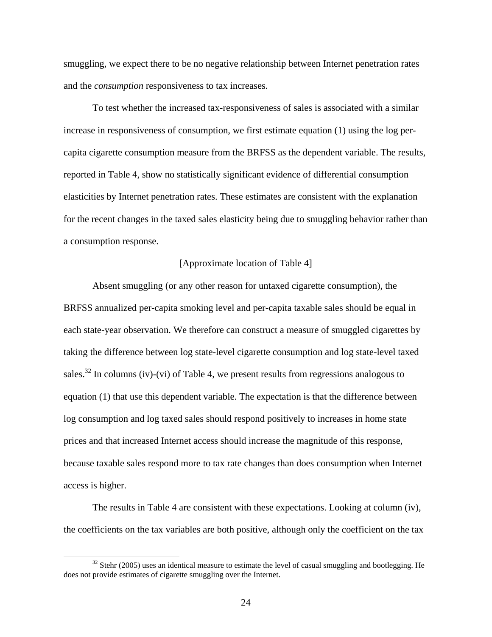smuggling, we expect there to be no negative relationship between Internet penetration rates and the *consumption* responsiveness to tax increases.

 To test whether the increased tax-responsiveness of sales is associated with a similar increase in responsiveness of consumption, we first estimate equation (1) using the log percapita cigarette consumption measure from the BRFSS as the dependent variable. The results, reported in Table 4, show no statistically significant evidence of differential consumption elasticities by Internet penetration rates. These estimates are consistent with the explanation for the recent changes in the taxed sales elasticity being due to smuggling behavior rather than a consumption response.

### [Approximate location of Table 4]

Absent smuggling (or any other reason for untaxed cigarette consumption), the BRFSS annualized per-capita smoking level and per-capita taxable sales should be equal in each state-year observation. We therefore can construct a measure of smuggled cigarettes by taking the difference between log state-level cigarette consumption and log state-level taxed sales.<sup>32</sup> In columns (iv)-(vi) of Table 4, we present results from regressions analogous to equation (1) that use this dependent variable. The expectation is that the difference between log consumption and log taxed sales should respond positively to increases in home state prices and that increased Internet access should increase the magnitude of this response, because taxable sales respond more to tax rate changes than does consumption when Internet access is higher.

 The results in Table 4 are consistent with these expectations. Looking at column (iv), the coefficients on the tax variables are both positive, although only the coefficient on the tax

<sup>&</sup>lt;sup>32</sup> Stehr (2005) uses an identical measure to estimate the level of casual smuggling and bootlegging. He does not provide estimates of cigarette smuggling over the Internet.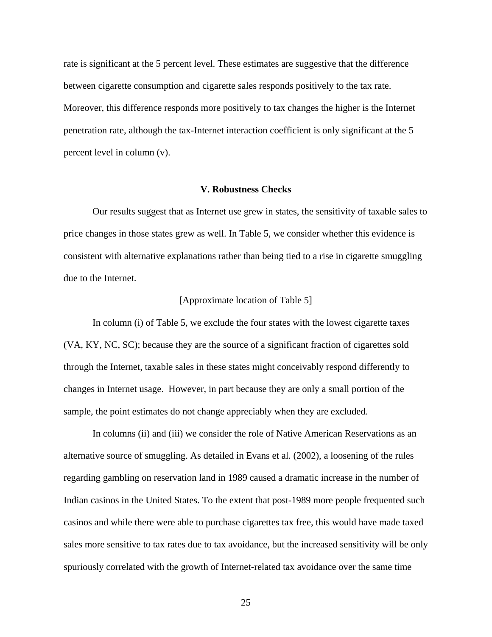rate is significant at the 5 percent level. These estimates are suggestive that the difference between cigarette consumption and cigarette sales responds positively to the tax rate. Moreover, this difference responds more positively to tax changes the higher is the Internet penetration rate, although the tax-Internet interaction coefficient is only significant at the 5 percent level in column (v).

### **V. Robustness Checks**

Our results suggest that as Internet use grew in states, the sensitivity of taxable sales to price changes in those states grew as well. In Table 5, we consider whether this evidence is consistent with alternative explanations rather than being tied to a rise in cigarette smuggling due to the Internet.

# [Approximate location of Table 5]

 In column (i) of Table 5, we exclude the four states with the lowest cigarette taxes (VA, KY, NC, SC); because they are the source of a significant fraction of cigarettes sold through the Internet, taxable sales in these states might conceivably respond differently to changes in Internet usage. However, in part because they are only a small portion of the sample, the point estimates do not change appreciably when they are excluded.

In columns (ii) and (iii) we consider the role of Native American Reservations as an alternative source of smuggling. As detailed in Evans et al. (2002), a loosening of the rules regarding gambling on reservation land in 1989 caused a dramatic increase in the number of Indian casinos in the United States. To the extent that post-1989 more people frequented such casinos and while there were able to purchase cigarettes tax free, this would have made taxed sales more sensitive to tax rates due to tax avoidance, but the increased sensitivity will be only spuriously correlated with the growth of Internet-related tax avoidance over the same time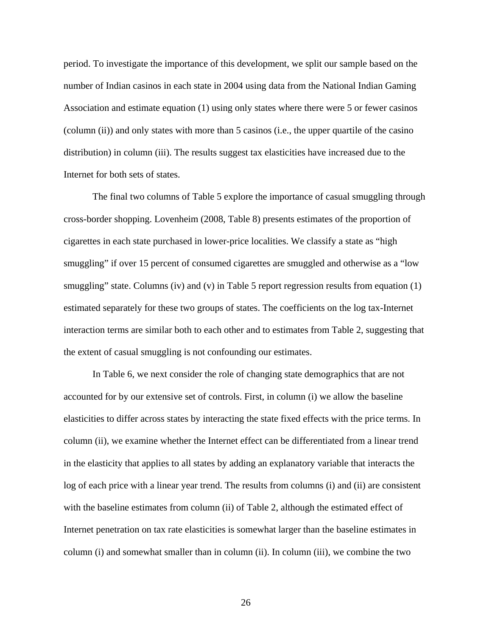period. To investigate the importance of this development, we split our sample based on the number of Indian casinos in each state in 2004 using data from the National Indian Gaming Association and estimate equation (1) using only states where there were 5 or fewer casinos (column (ii)) and only states with more than 5 casinos (i.e., the upper quartile of the casino distribution) in column (iii). The results suggest tax elasticities have increased due to the Internet for both sets of states.

The final two columns of Table 5 explore the importance of casual smuggling through cross-border shopping. Lovenheim (2008, Table 8) presents estimates of the proportion of cigarettes in each state purchased in lower-price localities. We classify a state as "high smuggling" if over 15 percent of consumed cigarettes are smuggled and otherwise as a "low smuggling" state. Columns (iv) and (v) in Table 5 report regression results from equation (1) estimated separately for these two groups of states. The coefficients on the log tax-Internet interaction terms are similar both to each other and to estimates from Table 2, suggesting that the extent of casual smuggling is not confounding our estimates.

In Table 6, we next consider the role of changing state demographics that are not accounted for by our extensive set of controls. First, in column (i) we allow the baseline elasticities to differ across states by interacting the state fixed effects with the price terms. In column (ii), we examine whether the Internet effect can be differentiated from a linear trend in the elasticity that applies to all states by adding an explanatory variable that interacts the log of each price with a linear year trend. The results from columns (i) and (ii) are consistent with the baseline estimates from column (ii) of Table 2, although the estimated effect of Internet penetration on tax rate elasticities is somewhat larger than the baseline estimates in column (i) and somewhat smaller than in column (ii). In column (iii), we combine the two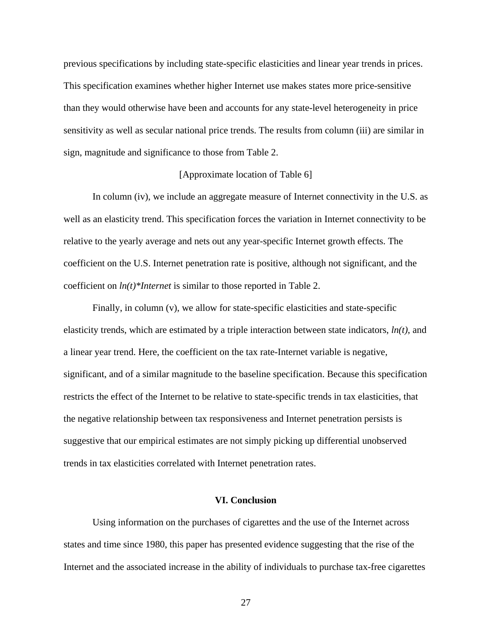previous specifications by including state-specific elasticities and linear year trends in prices. This specification examines whether higher Internet use makes states more price-sensitive than they would otherwise have been and accounts for any state-level heterogeneity in price sensitivity as well as secular national price trends. The results from column (iii) are similar in sign, magnitude and significance to those from Table 2.

## [Approximate location of Table 6]

 In column (iv), we include an aggregate measure of Internet connectivity in the U.S. as well as an elasticity trend. This specification forces the variation in Internet connectivity to be relative to the yearly average and nets out any year-specific Internet growth effects. The coefficient on the U.S. Internet penetration rate is positive, although not significant, and the coefficient on *ln(t)\*Internet* is similar to those reported in Table 2.

Finally, in column (v), we allow for state-specific elasticities and state-specific elasticity trends, which are estimated by a triple interaction between state indicators, *ln(t)*, and a linear year trend. Here, the coefficient on the tax rate-Internet variable is negative, significant, and of a similar magnitude to the baseline specification. Because this specification restricts the effect of the Internet to be relative to state-specific trends in tax elasticities, that the negative relationship between tax responsiveness and Internet penetration persists is suggestive that our empirical estimates are not simply picking up differential unobserved trends in tax elasticities correlated with Internet penetration rates.

# **VI. Conclusion**

 Using information on the purchases of cigarettes and the use of the Internet across states and time since 1980, this paper has presented evidence suggesting that the rise of the Internet and the associated increase in the ability of individuals to purchase tax-free cigarettes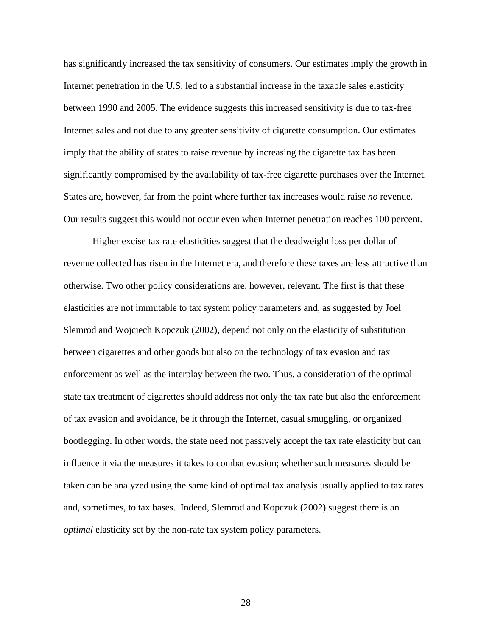has significantly increased the tax sensitivity of consumers. Our estimates imply the growth in Internet penetration in the U.S. led to a substantial increase in the taxable sales elasticity between 1990 and 2005. The evidence suggests this increased sensitivity is due to tax-free Internet sales and not due to any greater sensitivity of cigarette consumption. Our estimates imply that the ability of states to raise revenue by increasing the cigarette tax has been significantly compromised by the availability of tax-free cigarette purchases over the Internet. States are, however, far from the point where further tax increases would raise *no* revenue. Our results suggest this would not occur even when Internet penetration reaches 100 percent.

Higher excise tax rate elasticities suggest that the deadweight loss per dollar of revenue collected has risen in the Internet era, and therefore these taxes are less attractive than otherwise. Two other policy considerations are, however, relevant. The first is that these elasticities are not immutable to tax system policy parameters and, as suggested by Joel Slemrod and Wojciech Kopczuk (2002), depend not only on the elasticity of substitution between cigarettes and other goods but also on the technology of tax evasion and tax enforcement as well as the interplay between the two. Thus, a consideration of the optimal state tax treatment of cigarettes should address not only the tax rate but also the enforcement of tax evasion and avoidance, be it through the Internet, casual smuggling, or organized bootlegging. In other words, the state need not passively accept the tax rate elasticity but can influence it via the measures it takes to combat evasion; whether such measures should be taken can be analyzed using the same kind of optimal tax analysis usually applied to tax rates and, sometimes, to tax bases. Indeed, Slemrod and Kopczuk (2002) suggest there is an *optimal* elasticity set by the non-rate tax system policy parameters.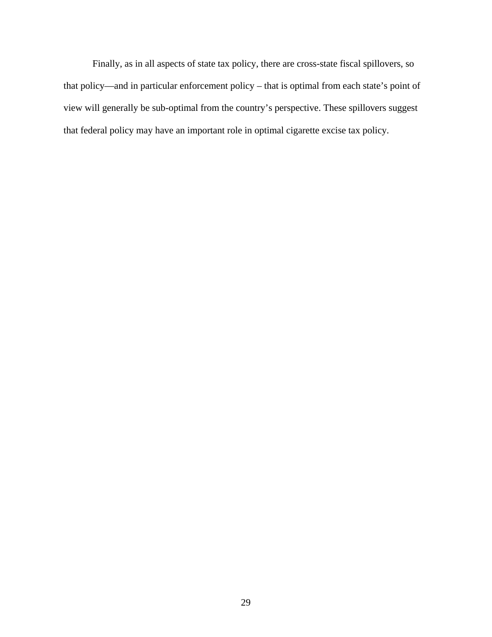Finally, as in all aspects of state tax policy, there are cross-state fiscal spillovers, so that policy—and in particular enforcement policy – that is optimal from each state's point of view will generally be sub-optimal from the country's perspective. These spillovers suggest that federal policy may have an important role in optimal cigarette excise tax policy.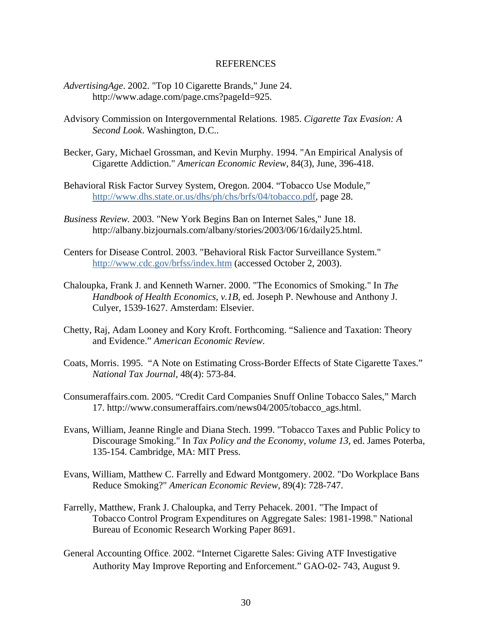### REFERENCES

- *AdvertisingAge*. 2002. "Top 10 Cigarette Brands," June 24. http://www.adage.com/page.cms?pageId=925.
- Advisory Commission on Intergovernmental Relations. 1985. *Cigarette Tax Evasion: A Second Look*. Washington, D.C..
- Becker, Gary, Michael Grossman, and Kevin Murphy. 1994. "An Empirical Analysis of Cigarette Addiction." *American Economic Review*, 84(3), June, 396-418.
- Behavioral Risk Factor Survey System, Oregon. 2004. "Tobacco Use Module," http://www.dhs.state.or.us/dhs/ph/chs/brfs/04/tobacco.pdf, page 28.
- *Business Review.* 2003. "New York Begins Ban on Internet Sales," June 18. http://albany.bizjournals.com/albany/stories/2003/06/16/daily25.html.
- Centers for Disease Control. 2003. "Behavioral Risk Factor Surveillance System." http://www.cdc.gov/brfss/index.htm (accessed October 2, 2003).
- Chaloupka, Frank J. and Kenneth Warner. 2000. "The Economics of Smoking." In *The Handbook of Health Economics*, *v.1B*, ed. Joseph P. Newhouse and Anthony J. Culyer, 1539-1627. Amsterdam: Elsevier.
- Chetty, Raj, Adam Looney and Kory Kroft. Forthcoming. "Salience and Taxation: Theory and Evidence." *American Economic Review*.
- Coats, Morris. 1995. "A Note on Estimating Cross-Border Effects of State Cigarette Taxes." *National Tax Journal,* 48(4): 573-84.
- Consumeraffairs.com. 2005. "Credit Card Companies Snuff Online Tobacco Sales," March 17. http://www.consumeraffairs.com/news04/2005/tobacco\_ags.html.
- Evans, William, Jeanne Ringle and Diana Stech. 1999. "Tobacco Taxes and Public Policy to Discourage Smoking." In *Tax Policy and the Economy*, *volume 13*, ed. James Poterba, 135-154. Cambridge, MA: MIT Press.
- Evans, William, Matthew C. Farrelly and Edward Montgomery. 2002. "Do Workplace Bans Reduce Smoking?" *American Economic Review*, 89(4): 728-747.
- Farrelly, Matthew, Frank J. Chaloupka, and Terry Pehacek. 2001. "The Impact of Tobacco Control Program Expenditures on Aggregate Sales: 1981-1998." National Bureau of Economic Research Working Paper 8691.
- General Accounting Office. 2002. "Internet Cigarette Sales: Giving ATF Investigative Authority May Improve Reporting and Enforcement." GAO-02- 743, August 9.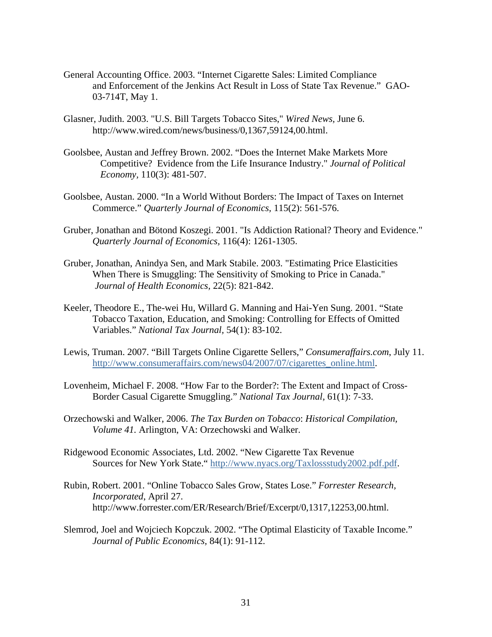- General Accounting Office. 2003. "Internet Cigarette Sales: Limited Compliance and Enforcement of the Jenkins Act Result in Loss of State Tax Revenue." GAO-03-714T, May 1.
- Glasner, Judith. 2003. "U.S. Bill Targets Tobacco Sites," *Wired News,* June 6. http://www.wired.com/news/business/0,1367,59124,00.html.
- Goolsbee, Austan and Jeffrey Brown. 2002. "Does the Internet Make Markets More Competitive? Evidence from the Life Insurance Industry." *Journal of Political Economy,* 110(3): 481-507.
- Goolsbee, Austan. 2000. "In a World Without Borders: The Impact of Taxes on Internet Commerce." *Quarterly Journal of Economics,* 115(2): 561-576.
- Gruber, Jonathan and Bötond Koszegi. 2001. "Is Addiction Rational? Theory and Evidence." *Quarterly Journal of Economics,* 116(4): 1261-1305.
- Gruber, Jonathan, Anindya Sen, and Mark Stabile. 2003. "Estimating Price Elasticities When There is Smuggling: The Sensitivity of Smoking to Price in Canada." *Journal of Health Economics,* 22(5): 821-842.
- Keeler, Theodore E., The-wei Hu, Willard G. Manning and Hai-Yen Sung. 2001. "State Tobacco Taxation, Education, and Smoking: Controlling for Effects of Omitted Variables." *National Tax Journal,* 54(1): 83-102.
- Lewis, Truman. 2007. "Bill Targets Online Cigarette Sellers," *Consumeraffairs.com*, July 11. http://www.consumeraffairs.com/news04/2007/07/cigarettes\_online.html.
- Lovenheim, Michael F. 2008. "How Far to the Border?: The Extent and Impact of Cross-Border Casual Cigarette Smuggling." *National Tax Journal,* 61(1): 7-33.
- Orzechowski and Walker, 2006. *The Tax Burden on Tobacco*: *Historical Compilation, Volume 41.* Arlington, VA: Orzechowski and Walker.
- Ridgewood Economic Associates, Ltd. 2002. "New Cigarette Tax Revenue Sources for New York State." http://www.nyacs.org/Taxlossstudy2002.pdf.pdf.
- Rubin, Robert. 2001. "Online Tobacco Sales Grow, States Lose." *Forrester Research, Incorporated*, April 27. http://www.forrester.com/ER/Research/Brief/Excerpt/0,1317,12253,00.html.
- Slemrod, Joel and Wojciech Kopczuk. 2002. "The Optimal Elasticity of Taxable Income." *Journal of Public Economics,* 84(1): 91-112.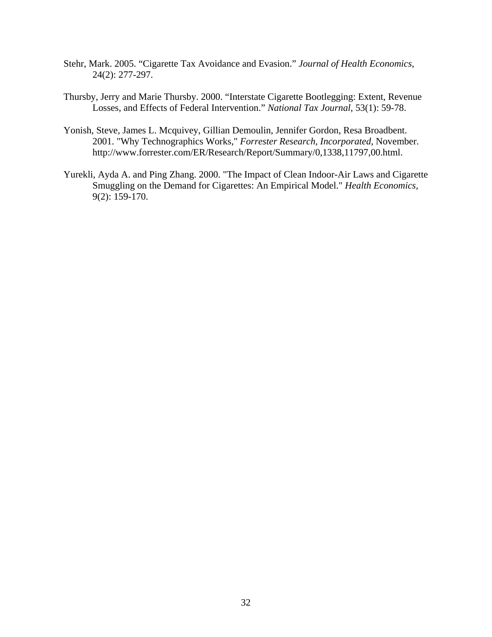- Stehr, Mark. 2005. "Cigarette Tax Avoidance and Evasion." *Journal of Health Economics*, 24(2): 277-297.
- Thursby, Jerry and Marie Thursby. 2000. "Interstate Cigarette Bootlegging: Extent, Revenue Losses, and Effects of Federal Intervention." *National Tax Journal*, 53(1): 59-78.
- Yonish, Steve, James L. Mcquivey, Gillian Demoulin, Jennifer Gordon, Resa Broadbent. 2001. "Why Technographics Works," *Forrester Research, Incorporated*, November. http://www.forrester.com/ER/Research/Report/Summary/0,1338,11797,00.html.
- Yurekli, Ayda A. and Ping Zhang. 2000. "The Impact of Clean Indoor-Air Laws and Cigarette Smuggling on the Demand for Cigarettes: An Empirical Model." *Health Economics,* 9(2): 159-170.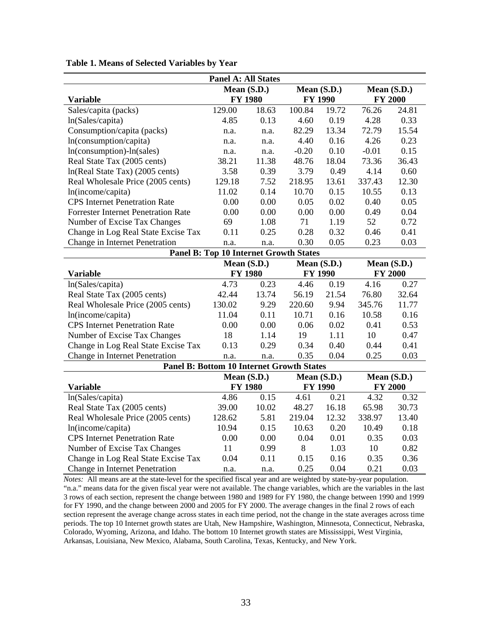|                                                  | <b>Panel A: All States</b> |       |                |       |                |       |
|--------------------------------------------------|----------------------------|-------|----------------|-------|----------------|-------|
|                                                  | Mean (S.D.)                |       | Mean (S.D.)    |       | Mean (S.D.)    |       |
| <b>Variable</b>                                  | <b>FY 1980</b>             |       | <b>FY 1990</b> |       | <b>FY 2000</b> |       |
| Sales/capita (packs)                             | 129.00                     | 18.63 | 100.84         | 19.72 | 76.26          | 24.81 |
| ln(Sales/capita)                                 | 4.85                       | 0.13  | 4.60           | 0.19  | 4.28           | 0.33  |
| Consumption/capita (packs)                       | n.a.                       | n.a.  | 82.29          | 13.34 | 72.79          | 15.54 |
| ln(consumption/capita)                           | n.a.                       | n.a.  | 4.40           | 0.16  | 4.26           | 0.23  |
| $ln(consumption) - ln(sales)$                    | n.a.                       | n.a.  | $-0.20$        | 0.10  | $-0.01$        | 0.15  |
| Real State Tax (2005 cents)                      | 38.21                      | 11.38 | 48.76          | 18.04 | 73.36          | 36.43 |
| $ln(Real State Tax)$ (2005 cents)                | 3.58                       | 0.39  | 3.79           | 0.49  | 4.14           | 0.60  |
| Real Wholesale Price (2005 cents)                | 129.18                     | 7.52  | 218.95         | 13.61 | 337.43         | 12.30 |
| ln(income/capita)                                | 11.02                      | 0.14  | 10.70          | 0.15  | 10.55          | 0.13  |
| <b>CPS</b> Internet Penetration Rate             | 0.00                       | 0.00  | 0.05           | 0.02  | 0.40           | 0.05  |
| <b>Forrester Internet Penetration Rate</b>       | 0.00                       | 0.00  | 0.00           | 0.00  | 0.49           | 0.04  |
| Number of Excise Tax Changes                     | 69                         | 1.08  | 71             | 1.19  | 52             | 0.72  |
| Change in Log Real State Excise Tax              | 0.11                       | 0.25  | 0.28           | 0.32  | 0.46           | 0.41  |
| Change in Internet Penetration                   | n.a.                       | n.a.  | 0.30           | 0.05  | 0.23           | 0.03  |
| <b>Panel B: Top 10 Internet Growth States</b>    |                            |       |                |       |                |       |
|                                                  | Mean (S.D.)                |       | Mean (S.D.)    |       | Mean (S.D.)    |       |
| <b>Variable</b>                                  | <b>FY 1980</b>             |       | <b>FY 1990</b> |       | <b>FY 2000</b> |       |
| ln(Sales/capita)                                 | 4.73                       | 0.23  | 4.46           | 0.19  | 4.16           | 0.27  |
| Real State Tax (2005 cents)                      | 42.44                      | 13.74 | 56.19          | 21.54 | 76.80          | 32.64 |
| Real Wholesale Price (2005 cents)                | 130.02                     | 9.29  | 220.60         | 9.94  | 345.76         | 11.77 |
| ln(income/capita)                                | 11.04                      | 0.11  | 10.71          | 0.16  | 10.58          | 0.16  |
| <b>CPS</b> Internet Penetration Rate             | 0.00                       | 0.00  | 0.06           | 0.02  | 0.41           | 0.53  |
| Number of Excise Tax Changes                     | 18                         | 1.14  | 19             | 1.11  | 10             | 0.47  |
| Change in Log Real State Excise Tax              | 0.13                       | 0.29  | 0.34           | 0.40  | 0.44           | 0.41  |
| Change in Internet Penetration                   | n.a.                       | n.a.  | 0.35           | 0.04  | 0.25           | 0.03  |
| <b>Panel B: Bottom 10 Internet Growth States</b> |                            |       |                |       |                |       |
|                                                  | Mean (S.D.)                |       | Mean (S.D.)    |       | Mean (S.D.)    |       |
| <b>Variable</b>                                  | <b>FY 1980</b>             |       | <b>FY 1990</b> |       | <b>FY 2000</b> |       |
| ln(Sales/capita)                                 | 4.86                       | 0.15  | 4.61           | 0.21  | 4.32           | 0.32  |
| Real State Tax (2005 cents)                      | 39.00                      | 10.02 | 48.27          | 16.18 | 65.98          | 30.73 |
| Real Wholesale Price (2005 cents)                | 128.62                     | 5.81  | 219.04         | 12.32 | 338.97         | 13.40 |
| ln(income/capita)                                | 10.94                      | 0.15  | 10.63          | 0.20  | 10.49          | 0.18  |
| <b>CPS</b> Internet Penetration Rate             | 0.00                       | 0.00  | 0.04           | 0.01  | 0.35           | 0.03  |
| Number of Excise Tax Changes                     | 11                         | 0.99  | 8              | 1.03  | 10             | 0.82  |
| Change in Log Real State Excise Tax              | 0.04                       | 0.11  | 0.15           | 0.16  | 0.35           | 0.36  |
| Change in Internet Penetration                   | n.a.                       | n.a.  | 0.25           | 0.04  | 0.21           | 0.03  |

**Table 1. Means of Selected Variables by Year** 

*Notes:* All means are at the state-level for the specified fiscal year and are weighted by state-by-year population. "n.a." means data for the given fiscal year were not available. The change variables, which are the variables in the last 3 rows of each section, represent the change between 1980 and 1989 for FY 1980, the change between 1990 and 1999 for FY 1990, and the change between 2000 and 2005 for FY 2000. The average changes in the final 2 rows of each section represent the average change across states in each time period, not the change in the state averages across time periods. The top 10 Internet growth states are Utah, New Hampshire, Washington, Minnesota, Connecticut, Nebraska, Colorado, Wyoming, Arizona, and Idaho. The bottom 10 Internet growth states are Mississippi, West Virginia, Arkansas, Louisiana, New Mexico, Alabama, South Carolina, Texas, Kentucky, and New York.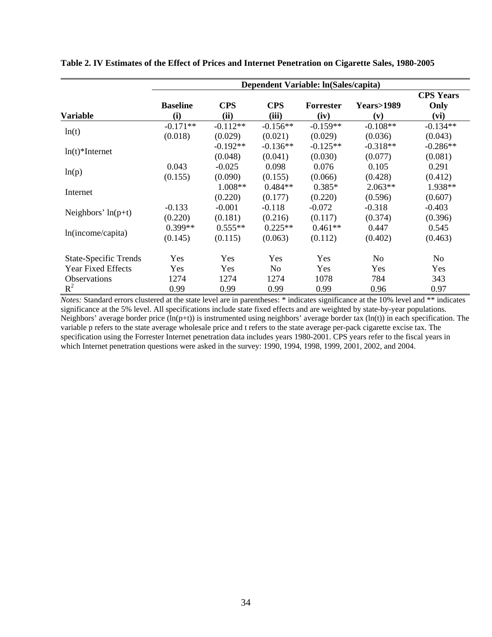|                               |                 |            |                | Dependent Variable: ln(Sales/capita) |                      |                  |
|-------------------------------|-----------------|------------|----------------|--------------------------------------|----------------------|------------------|
|                               |                 |            |                |                                      |                      | <b>CPS</b> Years |
|                               | <b>Baseline</b> | <b>CPS</b> | <b>CPS</b>     | <b>Forrester</b>                     | <b>Years&gt;1989</b> | Only             |
| Variable                      | (i)             | (ii)       | (iii)          | (iv)                                 | (v)                  | (vi)             |
|                               | $-0.171**$      | $-0.112**$ | $-0.156**$     | $-0.159**$                           | $-0.108**$           | $-0.134**$       |
| ln(t)                         | (0.018)         | (0.029)    | (0.021)        | (0.029)                              | (0.036)              | (0.043)          |
|                               |                 | $-0.192**$ | $-0.136**$     | $-0.125**$                           | $-0.318**$           | $-0.286**$       |
| $ln(t)$ <sup>*</sup> Internet |                 | (0.048)    | (0.041)        | (0.030)                              | (0.077)              | (0.081)          |
|                               | 0.043           | $-0.025$   | 0.098          | 0.076                                | 0.105                | 0.291            |
| ln(p)                         | (0.155)         | (0.090)    | (0.155)        | (0.066)                              | (0.428)              | (0.412)          |
| Internet                      |                 | $1.008**$  | $0.484**$      | $0.385*$                             | $2.063**$            | 1.938**          |
|                               |                 | (0.220)    | (0.177)        | (0.220)                              | (0.596)              | (0.607)          |
|                               | $-0.133$        | $-0.001$   | $-0.118$       | $-0.072$                             | $-0.318$             | $-0.403$         |
| Neighbors' $ln(p+t)$          | (0.220)         | (0.181)    | (0.216)        | (0.117)                              | (0.374)              | (0.396)          |
|                               | $0.399**$       | $0.555**$  | $0.225**$      | $0.461**$                            | 0.447                | 0.545            |
| ln(income/capita)             | (0.145)         | (0.115)    | (0.063)        | (0.112)                              | (0.402)              | (0.463)          |
| <b>State-Specific Trends</b>  | <b>Yes</b>      | <b>Yes</b> | <b>Yes</b>     | <b>Yes</b>                           | N <sub>0</sub>       | No.              |
| <b>Year Fixed Effects</b>     | Yes             | Yes        | N <sub>0</sub> | Yes                                  | <b>Yes</b>           | Yes              |
| <b>Observations</b>           | 1274            | 1274       | 1274           | 1078                                 | 784                  | 343              |
| $R^2$                         | 0.99            | 0.99       | 0.99           | 0.99                                 | 0.96                 | 0.97             |

**Table 2. IV Estimates of the Effect of Prices and Internet Penetration on Cigarette Sales, 1980-2005** 

*Notes:* Standard errors clustered at the state level are in parentheses: \* indicates significance at the 10% level and \*\* indicates significance at the 5% level. All specifications include state fixed effects and are weighted by state-by-year populations. Neighbors' average border price  $(\ln(p+t))$  is instrumented using neighbors' average border tax  $(\ln(t))$  in each specification. The variable p refers to the state average wholesale price and t refers to the state average per-pack cigarette excise tax. The specification using the Forrester Internet penetration data includes years 1980-2001. CPS years refer to the fiscal years in which Internet penetration questions were asked in the survey: 1990, 1994, 1998, 1999, 2001, 2002, and 2004.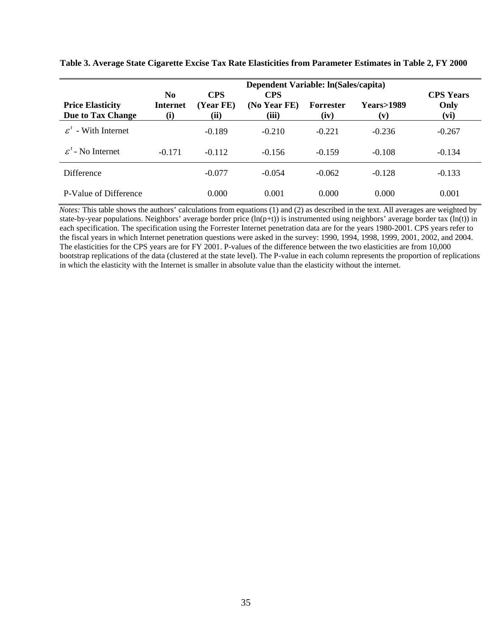|                                              |                                          |                                 | Dependent Variable: ln(Sales/capita) |                          |                             |                                  |
|----------------------------------------------|------------------------------------------|---------------------------------|--------------------------------------|--------------------------|-----------------------------|----------------------------------|
| <b>Price Elasticity</b><br>Due to Tax Change | N <sub>0</sub><br><b>Internet</b><br>(i) | <b>CPS</b><br>(Year FE)<br>(ii) | <b>CPS</b><br>(No Year FE)<br>(iii)  | <b>Forrester</b><br>(iv) | <b>Years&gt;1989</b><br>(v) | <b>CPS Years</b><br>Only<br>(vi) |
| - With Internet<br>$\mathcal{L}^{\prime}$    |                                          | $-0.189$                        | $-0.210$                             | $-0.221$                 | $-0.236$                    | $-0.267$                         |
| $\mathcal{E}^t$ - No Internet                | $-0.171$                                 | $-0.112$                        | $-0.156$                             | $-0.159$                 | $-0.108$                    | $-0.134$                         |
| Difference                                   |                                          | $-0.077$                        | $-0.054$                             | $-0.062$                 | $-0.128$                    | $-0.133$                         |
| P-Value of Difference                        |                                          | 0.000                           | 0.001                                | 0.000                    | 0.000                       | 0.001                            |

**Table 3. Average State Cigarette Excise Tax Rate Elasticities from Parameter Estimates in Table 2, FY 2000** 

*Notes:* This table shows the authors' calculations from equations (1) and (2) as described in the text. All averages are weighted by state-by-year populations. Neighbors' average border price  $(ln(p+t))$  is instrumented using neighbors' average border tax  $(ln(t))$  in each specification. The specification using the Forrester Internet penetration data are for the years 1980-2001. CPS years refer to the fiscal years in which Internet penetration questions were asked in the survey: 1990, 1994, 1998, 1999, 2001, 2002, and 2004. The elasticities for the CPS years are for FY 2001. P-values of the difference between the two elasticities are from 10,000 bootstrap replications of the data (clustered at the state level). The P-value in each column represents the proportion of replications in which the elasticity with the Internet is smaller in absolute value than the elasticity without the internet.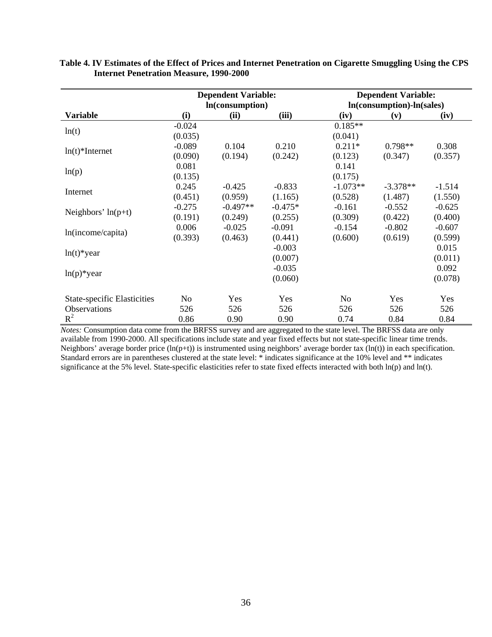|                                    | <b>Dependent Variable:</b><br>In(consumption) |            |           | <b>Dependent Variable:</b><br>In(consumption)-ln(sales) |            |          |  |
|------------------------------------|-----------------------------------------------|------------|-----------|---------------------------------------------------------|------------|----------|--|
| <b>Variable</b>                    | (i)                                           | (ii)       | (iii)     | (iv)                                                    | (v)        | (iv)     |  |
|                                    | $-0.024$                                      |            |           | $0.185**$                                               |            |          |  |
| ln(t)                              | (0.035)                                       |            |           | (0.041)                                                 |            |          |  |
|                                    | $-0.089$                                      | 0.104      | 0.210     | $0.211*$                                                | $0.798**$  | 0.308    |  |
| $ln(t)$ <sup>*</sup> Internet      | (0.090)                                       | (0.194)    | (0.242)   | (0.123)                                                 | (0.347)    | (0.357)  |  |
|                                    | 0.081                                         |            |           | 0.141                                                   |            |          |  |
| ln(p)                              | (0.135)                                       |            |           | (0.175)                                                 |            |          |  |
|                                    | 0.245                                         | $-0.425$   | $-0.833$  | $-1.073**$                                              | $-3.378**$ | $-1.514$ |  |
| Internet                           | (0.451)                                       | (0.959)    | (1.165)   | (0.528)                                                 | (1.487)    | (1.550)  |  |
| Neighbors' $ln(p+t)$               | $-0.275$                                      | $-0.497**$ | $-0.475*$ | $-0.161$                                                | $-0.552$   | $-0.625$ |  |
|                                    | (0.191)                                       | (0.249)    | (0.255)   | (0.309)                                                 | (0.422)    | (0.400)  |  |
| ln(income/capita)                  | 0.006                                         | $-0.025$   | $-0.091$  | $-0.154$                                                | $-0.802$   | $-0.607$ |  |
|                                    | (0.393)                                       | (0.463)    | (0.441)   | (0.600)                                                 | (0.619)    | (0.599)  |  |
| $ln(t)$ *year                      |                                               |            | $-0.003$  |                                                         |            | 0.015    |  |
|                                    |                                               |            | (0.007)   |                                                         |            | (0.011)  |  |
| $ln(p)*year$                       |                                               |            | $-0.035$  |                                                         |            | 0.092    |  |
|                                    |                                               |            | (0.060)   |                                                         |            | (0.078)  |  |
| <b>State-specific Elasticities</b> | No                                            | Yes        | Yes       | No                                                      | Yes        | Yes      |  |
| Observations                       | 526                                           | 526        | 526       | 526                                                     | 526        | 526      |  |
| $R^2$                              | 0.86                                          | 0.90       | 0.90      | 0.74                                                    | 0.84       | 0.84     |  |

## **Table 4. IV Estimates of the Effect of Prices and Internet Penetration on Cigarette Smuggling Using the CPS Internet Penetration Measure, 1990-2000**

*Notes:* Consumption data come from the BRFSS survey and are aggregated to the state level. The BRFSS data are only available from 1990-2000. All specifications include state and year fixed effects but not state-specific linear time trends. Neighbors' average border price  $(ln(p+t))$  is instrumented using neighbors' average border tax  $(ln(t))$  in each specification. Standard errors are in parentheses clustered at the state level: \* indicates significance at the 10% level and \*\* indicates significance at the 5% level. State-specific elasticities refer to state fixed effects interacted with both ln(p) and ln(t).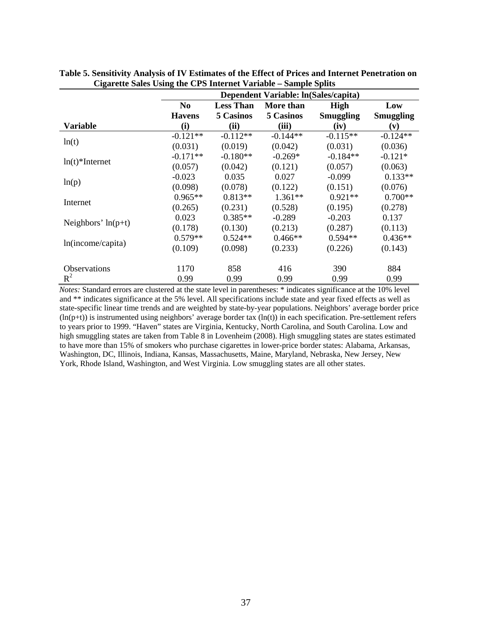|                               |                |                  | Dependent Variable: ln(Sales/capita) |                  |            |
|-------------------------------|----------------|------------------|--------------------------------------|------------------|------------|
|                               | N <sub>0</sub> | <b>Less Than</b> | More than                            | <b>High</b>      | Low        |
|                               | <b>Havens</b>  | 5 Casinos        | 5 Casinos                            | <b>Smuggling</b> | Smuggling  |
| Variable                      | (i)            | (ii)             | (iii)                                | (iv)             | (v)        |
| ln(t)                         | $-0.121**$     | $-0.112**$       | $-0.144**$                           | $-0.115**$       | $-0.124**$ |
|                               | (0.031)        | (0.019)          | (0.042)                              | (0.031)          | (0.036)    |
| $ln(t)$ <sup>*</sup> Internet | $-0.171**$     | $-0.180**$       | $-0.269*$                            | $-0.184**$       | $-0.121*$  |
|                               | (0.057)        | (0.042)          | (0.121)                              | (0.057)          | (0.063)    |
|                               | $-0.023$       | 0.035            | 0.027                                | $-0.099$         | $0.133**$  |
| ln(p)                         | (0.098)        | (0.078)          | (0.122)                              | (0.151)          | (0.076)    |
| Internet                      | $0.965**$      | $0.813**$        | $1.361**$                            | $0.921**$        | $0.700**$  |
|                               | (0.265)        | (0.231)          | (0.528)                              | (0.195)          | (0.278)    |
| Neighbors' $ln(p+t)$          | 0.023          | $0.385**$        | $-0.289$                             | $-0.203$         | 0.137      |
|                               | (0.178)        | (0.130)          | (0.213)                              | (0.287)          | (0.113)    |
|                               | $0.579**$      | $0.524**$        | $0.466**$                            | $0.594**$        | $0.436**$  |
| ln(income/capita)             | (0.109)        | (0.098)          | (0.233)                              | (0.226)          | (0.143)    |
| <b>Observations</b>           | 1170           | 858              |                                      |                  | 884        |
| $R^2$                         |                |                  | 416                                  | 390              |            |
|                               | 0.99           | 0.99             | 0.99                                 | 0.99             | 0.99       |

**Table 5. Sensitivity Analysis of IV Estimates of the Effect of Prices and Internet Penetration on Cigarette Sales Using the CPS Internet Variable – Sample Splits**

*Notes:* Standard errors are clustered at the state level in parentheses: \* indicates significance at the 10% level and \*\* indicates significance at the 5% level. All specifications include state and year fixed effects as well as state-specific linear time trends and are weighted by state-by-year populations. Neighbors' average border price  $(ln(p+t))$  is instrumented using neighbors' average border tax  $(ln(t))$  in each specification. Pre-settlement refers to years prior to 1999. "Haven" states are Virginia, Kentucky, North Carolina, and South Carolina. Low and high smuggling states are taken from Table 8 in Lovenheim (2008). High smuggling states are states estimated to have more than 15% of smokers who purchase cigarettes in lower-price border states: Alabama, Arkansas, Washington, DC, Illinois, Indiana, Kansas, Massachusetts, Maine, Maryland, Nebraska, New Jersey, New York, Rhode Island, Washington, and West Virginia. Low smuggling states are all other states.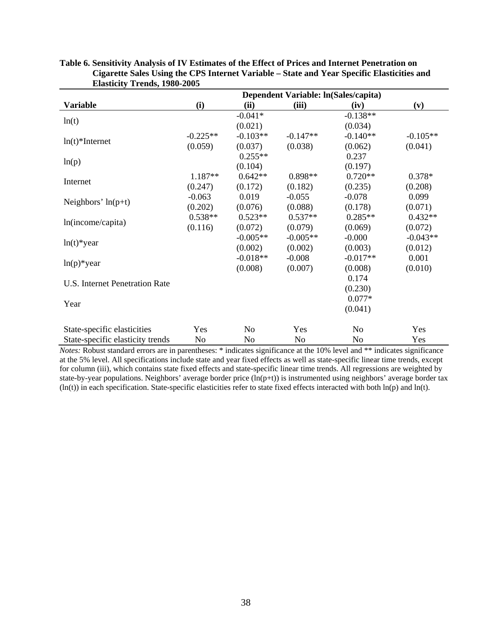|                                       |            |                | Dependent Variable: ln(Sales/capita) |                |            |
|---------------------------------------|------------|----------------|--------------------------------------|----------------|------------|
| <b>Variable</b>                       | (i)        | (ii)           | (iii)                                | (iv)           | (v)        |
|                                       |            | $-0.041*$      |                                      | $-0.138**$     |            |
| ln(t)                                 |            | (0.021)        |                                      | (0.034)        |            |
| $ln(t)$ <sup>*</sup> Internet         | $-0.225**$ | $-0.103**$     | $-0.147**$                           | $-0.140**$     | $-0.105**$ |
|                                       | (0.059)    | (0.037)        | (0.038)                              | (0.062)        | (0.041)    |
|                                       |            | $0.255**$      |                                      | 0.237          |            |
| ln(p)                                 |            | (0.104)        |                                      | (0.197)        |            |
| Internet                              | 1.187**    | $0.642**$      | $0.898**$                            | $0.720**$      | $0.378*$   |
|                                       | (0.247)    | (0.172)        | (0.182)                              | (0.235)        | (0.208)    |
| Neighbors' $ln(p+t)$                  | $-0.063$   | 0.019          | $-0.055$                             | $-0.078$       | 0.099      |
|                                       | (0.202)    | (0.076)        | (0.088)                              | (0.178)        | (0.071)    |
| ln(income/capita)                     | $0.538**$  | $0.523**$      | $0.537**$                            | $0.285**$      | $0.432**$  |
|                                       | (0.116)    | (0.072)        | (0.079)                              | (0.069)        | (0.072)    |
| $ln(t)$ *year                         |            | $-0.005**$     | $-0.005**$                           | $-0.000$       | $-0.043**$ |
|                                       |            | (0.002)        | (0.002)                              | (0.003)        | (0.012)    |
| $ln(p)$ *year                         |            | $-0.018**$     | $-0.008$                             | $-0.017**$     | 0.001      |
|                                       |            | (0.008)        | (0.007)                              | (0.008)        | (0.010)    |
| <b>U.S. Internet Penetration Rate</b> |            |                |                                      | 0.174          |            |
|                                       |            |                |                                      | (0.230)        |            |
| Year                                  |            |                |                                      | $0.077*$       |            |
|                                       |            |                |                                      | (0.041)        |            |
| State-specific elasticities           | Yes        | N <sub>o</sub> | Yes                                  | N <sub>o</sub> | Yes        |
| State-specific elasticity trends      | No         | No             | No                                   | No             | Yes        |

| Table 6. Sensitivity Analysis of IV Estimates of the Effect of Prices and Internet Penetration on |
|---------------------------------------------------------------------------------------------------|
| Cigarette Sales Using the CPS Internet Variable – State and Year Specific Elasticities and        |
| <b>Elasticity Trends, 1980-2005</b>                                                               |

*Notes:* Robust standard errors are in parentheses: \* indicates significance at the 10% level and \*\* indicates significance at the 5% level. All specifications include state and year fixed effects as well as state-specific linear time trends, except for column (iii), which contains state fixed effects and state-specific linear time trends. All regressions are weighted by state-by-year populations. Neighbors' average border price (ln(p+t)) is instrumented using neighbors' average border tax  $(ln(t))$  in each specification. State-specific elasticities refer to state fixed effects interacted with both  $ln(p)$  and  $ln(t)$ .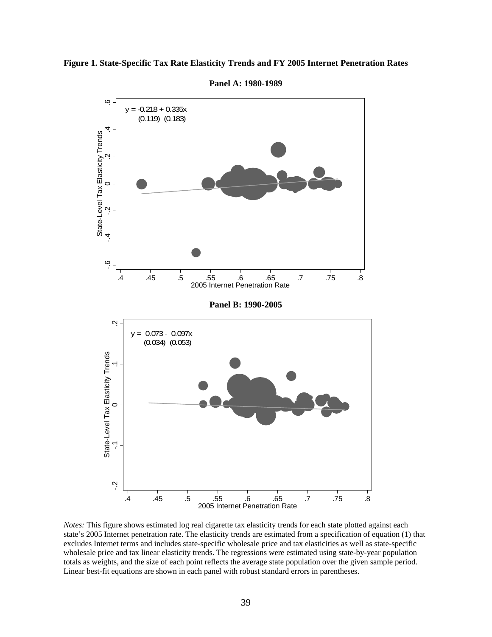

**Figure 1. State-Specific Tax Rate Elasticity Trends and FY 2005 Internet Penetration Rates** 

**Panel A: 1980-1989** 

*Notes:* This figure shows estimated log real cigarette tax elasticity trends for each state plotted against each state's 2005 Internet penetration rate. The elasticity trends are estimated from a specification of equation (1) that excludes Internet terms and includes state-specific wholesale price and tax elasticities as well as state-specific wholesale price and tax linear elasticity trends. The regressions were estimated using state-by-year population totals as weights, and the size of each point reflects the average state population over the given sample period.